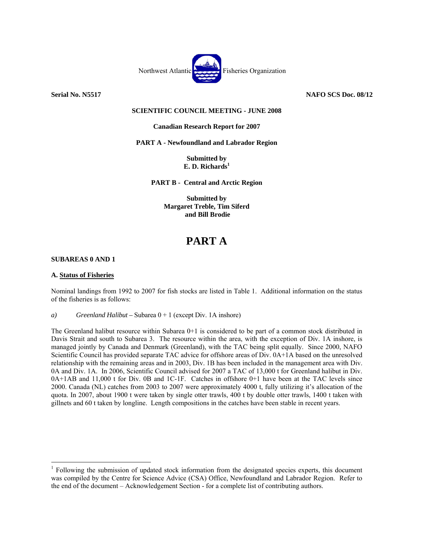

**Serial No. N5517 NAFO SCS Doc. 08/12** 

# **SCIENTIFIC COUNCIL MEETING - JUNE 2008**

# **Canadian Research Report for 2007**

**PART A - Newfoundland and Labrador Region** 

**Submitted by E. D. Richards1**

**PART B - Central and Arctic Region** 

**Submitted by Margaret Treble, Tim Siferd and Bill Brodie** 

# **PART A**

### **SUBAREAS 0 AND 1**

### **A. Status of Fisheries**

 $\overline{a}$ 

Nominal landings from 1992 to 2007 for fish stocks are listed in Table 1. Additional information on the status of the fisheries is as follows:

*a) Greenland Halibut –* Subarea 0 + 1 (except Div. 1A inshore)

The Greenland halibut resource within Subarea 0+1 is considered to be part of a common stock distributed in Davis Strait and south to Subarea 3. The resource within the area, with the exception of Div. 1A inshore, is managed jointly by Canada and Denmark (Greenland), with the TAC being split equally. Since 2000, NAFO Scientific Council has provided separate TAC advice for offshore areas of Div. 0A+1A based on the unresolved relationship with the remaining areas and in 2003, Div. 1B has been included in the management area with Div. 0A and Div. 1A. In 2006, Scientific Council advised for 2007 a TAC of 13,000 t for Greenland halibut in Div. 0A+1AB and 11,000 t for Div. 0B and 1C-1F. Catches in offshore 0+1 have been at the TAC levels since 2000. Canada (NL) catches from 2003 to 2007 were approximately 4000 t, fully utilizing it's allocation of the quota. In 2007, about 1900 t were taken by single otter trawls, 400 t by double otter trawls, 1400 t taken with gillnets and 60 t taken by longline. Length compositions in the catches have been stable in recent years.

<sup>&</sup>lt;sup>1</sup> Following the submission of updated stock information from the designated species experts, this document was compiled by the Centre for Science Advice (CSA) Office, Newfoundland and Labrador Region. Refer to the end of the document – Acknowledgement Section - for a complete list of contributing authors.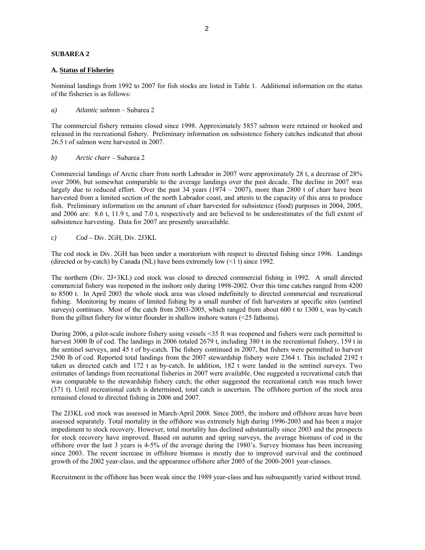### **SUBAREA 2**

### **A. Status of Fisheries**

Nominal landings from 1992 to 2007 for fish stocks are listed in Table 1. Additional information on the status of the fisheries is as follows:

*a) Atlantic salmon* – Subarea 2

The commercial fishery remains closed since 1998. Approximately 5857 salmon were retained or hooked and released in the recreational fishery. Preliminary information on subsistence fishery catches indicated that about 26.5 t of salmon were harvested in 2007.

 *b) Arctic charr* – Subarea 2

Commercial landings of Arctic charr from north Labrador in 2007 were approximately 28 t, a decrease of 28% over 2006, but somewhat comparable to the average landings over the past decade. The decline in 2007 was largely due to reduced effort. Over the past  $34$  years (1974 – 2007), more than 2800 t of charr have been harvested from a limited section of the north Labrador coast, and attests to the capacity of this area to produce fish. Preliminary information on the amount of charr harvested for subsistence (food) purposes in 2004, 2005, and 2006 are: 8.6 t, 11.9 t, and 7.0 t, respectively and are believed to be underestimates of the full extent of subsistence harvesting. Data for 2007 are presently unavailable.

*c) Cod –* Div. 2GH, Div. 2J3KL

The cod stock in Div. 2GH has been under a moratorium with respect to directed fishing since 1996. Landings (directed or by-catch) by Canada (NL) have been extremely low  $(1 t)$  since 1992.

The northern (Div. 2J+3KL) cod stock was closed to directed commercial fishing in 1992. A small directed commercial fishery was reopened in the inshore only during 1998-2002. Over this time catches ranged from 4200 to 8500 t. In April 2003 the whole stock area was closed indefinitely to directed commercial and recreational fishing. Monitoring by means of limited fishing by a small number of fish harvesters at specific sites (sentinel surveys) continues. Most of the catch from 2003-2005, which ranged from about 600 t to 1300 t, was by-catch from the gillnet fishery for winter flounder in shallow inshore waters (<25 fathoms).

During 2006, a pilot-scale inshore fishery using vessels <35 ft was reopened and fishers were each permitted to harvest 3000 lb of cod. The landings in 2006 totaled 2679 t, including 380 t in the recreational fishery, 159 t in the sentinel surveys, and 45 t of by-catch. The fishery continued in 2007, but fishers were permitted to harvest 2500 lb of cod. Reported total landings from the 2007 stewardship fishery were 2364 t. This included 2192 t taken as directed catch and 172 t as by-catch. In addition, 182 t were landed in the sentinel surveys. Two estimates of landings from recreational fisheries in 2007 were available. One suggested a recreational catch that was comparable to the stewardship fishery catch; the other suggested the recreational catch was much lower (371 t). Until recreational catch is determined, total catch is uncertain. The offshore portion of the stock area remained closed to directed fishing in 2006 and 2007.

The 2J3KL cod stock was assessed in March-April 2008. Since 2005, the inshore and offshore areas have been assessed separately. Total mortality in the offshore was extremely high during 1996-2003 and has been a major impediment to stock recovery. However, total mortality has declined substantially since 2003 and the prospects for stock recovery have improved. Based on autumn and spring surveys, the average biomass of cod in the offshore over the last 3 years is 4-5% of the average during the 1980's. Survey biomass has been increasing since 2003. The recent increase in offshore biomass is mostly due to improved survival and the continued growth of the 2002 year-class, and the appearance offshore after 2005 of the 2000-2001 year-classes.

Recruitment in the offshore has been weak since the 1989 year-class and has subsequently varied without trend.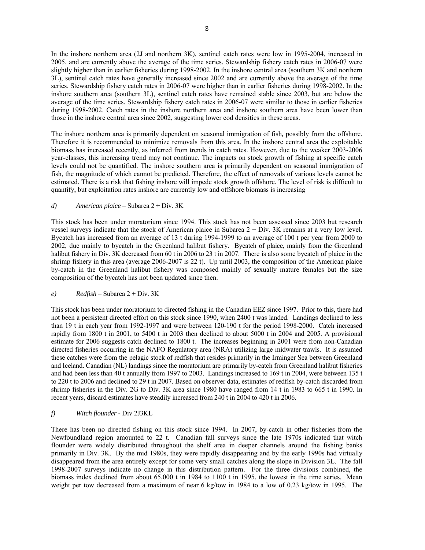In the inshore northern area (2J and northern 3K), sentinel catch rates were low in 1995-2004, increased in 2005, and are currently above the average of the time series. Stewardship fishery catch rates in 2006-07 were slightly higher than in earlier fisheries during 1998-2002. In the inshore central area (southern 3K and northern 3L), sentinel catch rates have generally increased since 2002 and are currently above the average of the time series. Stewardship fishery catch rates in 2006-07 were higher than in earlier fisheries during 1998-2002. In the inshore southern area (southern 3L), sentinel catch rates have remained stable since 2003, but are below the average of the time series. Stewardship fishery catch rates in 2006-07 were similar to those in earlier fisheries during 1998-2002. Catch rates in the inshore northern area and inshore southern area have been lower than those in the inshore central area since 2002, suggesting lower cod densities in these areas.

The inshore northern area is primarily dependent on seasonal immigration of fish*,* possibly from the offshore. Therefore it is recommended to minimize removals from this area. In the inshore central area the exploitable biomass has increased recently, as inferred from trends in catch rates. However, due to the weaker 2003-2006 year-classes, this increasing trend may not continue. The impacts on stock growth of fishing at specific catch levels could not be quantified. The inshore southern area is primarily dependent on seasonal immigration of fish, the magnitude of which cannot be predicted. Therefore, the effect of removals of various levels cannot be estimated. There is a risk that fishing inshore will impede stock growth offshore. The level of risk is difficult to quantify, but exploitation rates inshore are currently low and offshore biomass is increasing

# *d) American plaice* – Subarea 2 + Div. 3K

This stock has been under moratorium since 1994. This stock has not been assessed since 2003 but research vessel surveys indicate that the stock of American plaice in Subarea 2 + Div. 3K remains at a very low level. Bycatch has increased from an average of 13 t during 1994-1999 to an average of 100 t per year from 2000 to 2002, due mainly to bycatch in the Greenland halibut fishery. Bycatch of plaice, mainly from the Greenland halibut fishery in Div. 3K decreased from 60 t in 2006 to 23 t in 2007. There is also some bycatch of plaice in the shrimp fishery in this area (average 2006-2007 is 22 t). Up until 2003, the composition of the American plaice by-catch in the Greenland halibut fishery was composed mainly of sexually mature females but the size composition of the bycatch has not been updated since then.

### *e) Redfish* – Subarea 2 + Div. 3K

This stock has been under moratorium to directed fishing in the Canadian EEZ since 1997. Prior to this, there had not been a persistent directed effort on this stock since 1990, when 2400 t was landed. Landings declined to less than 19 t in each year from 1992-1997 and were between 120-190 t for the period 1998-2000. Catch increased rapidly from 1800 t in 2001, to 5400 t in 2003 then declined to about 5000 t in 2004 and 2005. A provisional estimate for 2006 suggests catch declined to 1800 t. The increases beginning in 2001 were from non-Canadian directed fisheries occurring in the NAFO Regulatory area (NRA) utilizing large midwater trawls. It is assumed these catches were from the pelagic stock of redfish that resides primarily in the Irminger Sea between Greenland and Iceland. Canadian (NL) landings since the moratorium are primarily by-catch from Greenland halibut fisheries and had been less than 40 t annually from 1997 to 2003. Landings increased to 169 t in 2004, were between 135 t to 220 t to 2006 and declined to 29 t in 2007. Based on observer data, estimates of redfish by-catch discarded from shrimp fisheries in the Div. 2G to Div. 3K area since 1980 have ranged from 14 t in 1983 to 665 t in 1990. In recent years, discard estimates have steadily increased from 240 t in 2004 to 420 t in 2006.

# *f) Witch flounder -* Div 2J3KL

There has been no directed fishing on this stock since 1994. In 2007, by-catch in other fisheries from the Newfoundland region amounted to 22 t. Canadian fall surveys since the late 1970s indicated that witch flounder were widely distributed throughout the shelf area in deeper channels around the fishing banks primarily in Div. 3K. By the mid 1980s, they were rapidly disappearing and by the early 1990s had virtually disappeared from the area entirely except for some very small catches along the slope in Division 3L. The fall 1998-2007 surveys indicate no change in this distribution pattern. For the three divisions combined, the biomass index declined from about 65,000 t in 1984 to 1100 t in 1995, the lowest in the time series. Mean weight per tow decreased from a maximum of near 6 kg/tow in 1984 to a low of 0.23 kg/tow in 1995. The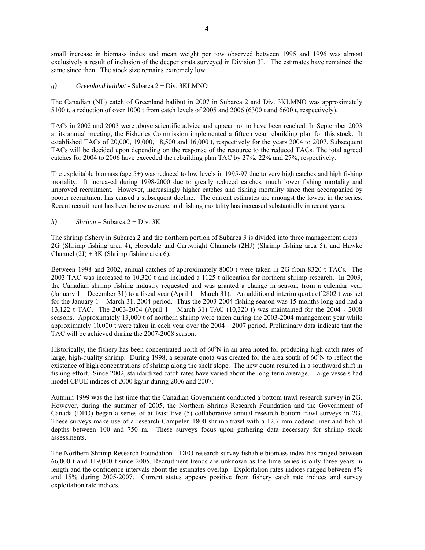small increase in biomass index and mean weight per tow observed between 1995 and 1996 was almost exclusively a result of inclusion of the deeper strata surveyed in Division 3L. The estimates have remained the same since then. The stock size remains extremely low.

# *g) Greenland halibut -* Subarea 2 + Div. 3KLMNO

The Canadian (NL) catch of Greenland halibut in 2007 in Subarea 2 and Div. 3KLMNO was approximately 5100 t, a reduction of over 1000 t from catch levels of 2005 and 2006 (6300 t and 6600 t, respectively).

TACs in 2002 and 2003 were above scientific advice and appear not to have been reached. In September 2003 at its annual meeting, the Fisheries Commission implemented a fifteen year rebuilding plan for this stock. It established TACs of 20,000, 19,000, 18,500 and 16,000 t, respectively for the years 2004 to 2007. Subsequent TACs will be decided upon depending on the response of the resource to the reduced TACs. The total agreed catches for 2004 to 2006 have exceeded the rebuilding plan TAC by 27%, 22% and 27%, respectively.

The exploitable biomass (age 5+) was reduced to low levels in 1995-97 due to very high catches and high fishing mortality. It increased during 1998-2000 due to greatly reduced catches, much lower fishing mortality and improved recruitment. However, increasingly higher catches and fishing mortality since then accompanied by poorer recruitment has caused a subsequent decline. The current estimates are amongst the lowest in the series. Recent recruitment has been below average, and fishing mortality has increased substantially in recent years.

*h) Shrimp* – Subarea 2 + Div. 3K

The shrimp fishery in Subarea 2 and the northern portion of Subarea 3 is divided into three management areas – 2G (Shrimp fishing area 4), Hopedale and Cartwright Channels (2HJ) (Shrimp fishing area 5), and Hawke Channel  $(2J) + 3K$  (Shrimp fishing area 6).

Between 1998 and 2002, annual catches of approximately 8000 t were taken in 2G from 8320 t TACs. The 2003 TAC was increased to 10,320 t and included a 1125 t allocation for northern shrimp research. In 2003, the Canadian shrimp fishing industry requested and was granted a change in season, from a calendar year (January 1 – December 31) to a fiscal year (April 1 – March 31). An additional interim quota of 2802 t was set for the January 1 – March 31, 2004 period. Thus the 2003-2004 fishing season was 15 months long and had a 13,122 t TAC. The 2003-2004 (April 1 – March 31) TAC (10,320 t) was maintained for the 2004 - 2008 seasons. Approximately 13,000 t of northern shrimp were taken during the 2003-2004 management year while approximately 10,000 t were taken in each year over the 2004 – 2007 period. Preliminary data indicate that the TAC will be achieved during the 2007-2008 season.

Historically, the fishery has been concentrated north of 60°N in an area noted for producing high catch rates of large, high-quality shrimp. During 1998, a separate quota was created for the area south of  $60^{\circ}$ N to reflect the existence of high concentrations of shrimp along the shelf slope. The new quota resulted in a southward shift in fishing effort. Since 2002, standardized catch rates have varied about the long-term average. Large vessels had model CPUE indices of 2000 kg/hr during 2006 and 2007.

Autumn 1999 was the last time that the Canadian Government conducted a bottom trawl research survey in 2G. However, during the summer of 2005, the Northern Shrimp Research Foundation and the Government of Canada (DFO) began a series of at least five (5) collaborative annual research bottom trawl surveys in 2G. These surveys make use of a research Campelen 1800 shrimp trawl with a 12.7 mm codend liner and fish at depths between 100 and 750 m. These surveys focus upon gathering data necessary for shrimp stock assessments.

The Northern Shrimp Research Foundation – DFO research survey fishable biomass index has ranged between 66,000 t and 119,000 t since 2005. Recruitment trends are unknown as the time series is only three years in length and the confidence intervals about the estimates overlap. Exploitation rates indices ranged between 8% and 15% during 2005-2007. Current status appears positive from fishery catch rate indices and survey exploitation rate indices.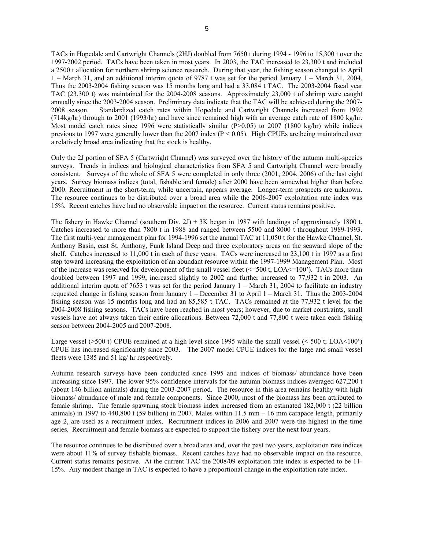TACs in Hopedale and Cartwright Channels (2HJ) doubled from 7650 t during 1994 - 1996 to 15,300 t over the 1997-2002 period. TACs have been taken in most years. In 2003, the TAC increased to 23,300 t and included a 2500 t allocation for northern shrimp science research. During that year, the fishing season changed to April 1 – March 31, and an additional interim quota of 9787 t was set for the period January 1 – March 31, 2004. Thus the 2003-2004 fishing season was 15 months long and had a 33,084 t TAC. The 2003-2004 fiscal year TAC (23,300 t) was maintained for the 2004-2008 seasons. Approximately 23,000 t of shrimp were caught annually since the 2003-2004 season. Preliminary data indicate that the TAC will be achieved during the 2007- 2008 season. Standardized catch rates within Hopedale and Cartwright Channels increased from 1992 (714kg/hr) through to 2001 (1993/hr) and have since remained high with an average catch rate of 1800 kg/hr. Most model catch rates since 1996 were statistically similar (P>0.05) to 2007 (1800 kg/hr) while indices previous to 1997 were generally lower than the 2007 index ( $P < 0.05$ ). High CPUEs are being maintained over a relatively broad area indicating that the stock is healthy.

Only the 2J portion of SFA 5 (Cartwright Channel) was surveyed over the history of the autumn multi-species surveys. Trends in indices and biological characteristics from SFA 5 and Cartwright Channel were broadly consistent. Surveys of the whole of SFA 5 were completed in only three (2001, 2004, 2006) of the last eight years. Survey biomass indices (total, fishable and female) after 2000 have been somewhat higher than before 2000. Recruitment in the short-term, while uncertain, appears average. Longer-term prospects are unknown. The resource continues to be distributed over a broad area while the 2006-2007 exploitation rate index was 15%. Recent catches have had no observable impact on the resource. Current status remains positive.

The fishery in Hawke Channel (southern Div. 2J) + 3K began in 1987 with landings of approximately 1800 t. Catches increased to more than 7800 t in 1988 and ranged between 5500 and 8000 t throughout 1989-1993. The first multi-year management plan for 1994-1996 set the annual TAC at 11,050 t for the Hawke Channel, St. Anthony Basin, east St. Anthony, Funk Island Deep and three exploratory areas on the seaward slope of the shelf. Catches increased to 11,000 t in each of these years. TACs were increased to 23,100 t in 1997 as a first step toward increasing the exploitation of an abundant resource within the 1997-1999 Management Plan. Most of the increase was reserved for development of the small vessel fleet  $(\leq 500 \text{ t}; \text{LOA}\leq 100)$ . TACs more than doubled between 1997 and 1999, increased slightly to 2002 and further increased to 77,932 t in 2003. An additional interim quota of 7653 t was set for the period January 1 – March 31, 2004 to facilitate an industry requested change in fishing season from January 1 – December 31 to April 1 – March 31. Thus the 2003-2004 fishing season was 15 months long and had an 85,585 t TAC. TACs remained at the 77,932 t level for the 2004-2008 fishing seasons. TACs have been reached in most years; however, due to market constraints, small vessels have not always taken their entire allocations. Between 72,000 t and 77,800 t were taken each fishing season between 2004-2005 and 2007-2008.

Large vessel (>500 t) CPUE remained at a high level since 1995 while the small vessel (< 500 t; LOA<100') CPUE has increased significantly since 2003. The 2007 model CPUE indices for the large and small vessel fleets were 1385 and 51 kg/ hr respectively.

Autumn research surveys have been conducted since 1995 and indices of biomass/ abundance have been increasing since 1997. The lower 95% confidence intervals for the autumn biomass indices averaged 627,200 t (about 146 billion animals) during the 2003-2007 period. The resource in this area remains healthy with high biomass/ abundance of male and female components. Since 2000, most of the biomass has been attributed to female shrimp. The female spawning stock biomass index increased from an estimated 182,000 t (22 billion animals) in 1997 to 440,800 t (59 billion) in 2007. Males within  $11.5$  mm  $-16$  mm carapace length, primarily age 2, are used as a recruitment index. Recruitment indices in 2006 and 2007 were the highest in the time series. Recruitment and female biomass are expected to support the fishery over the next four years.

The resource continues to be distributed over a broad area and, over the past two years, exploitation rate indices were about 11% of survey fishable biomass. Recent catches have had no observable impact on the resource. Current status remains positive. At the current TAC the 2008/09 exploitation rate index is expected to be 11- 15%. Any modest change in TAC is expected to have a proportional change in the exploitation rate index.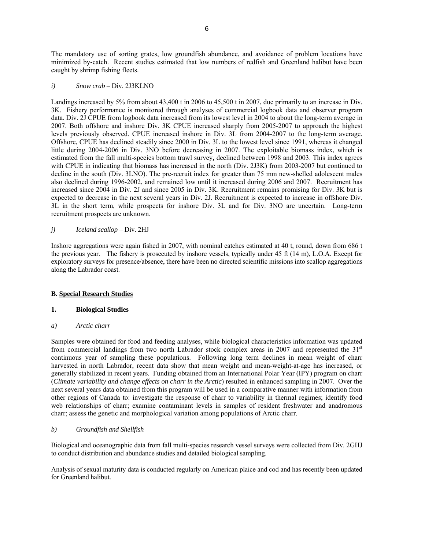The mandatory use of sorting grates, low groundfish abundance, and avoidance of problem locations have minimized by-catch. Recent studies estimated that low numbers of redfish and Greenland halibut have been caught by shrimp fishing fleets.

*i) Snow crab* – Div. 2J3KLNO

Landings increased by 5% from about 43,400 t in 2006 to 45,500 t in 2007, due primarily to an increase in Div. 3K. Fishery performance is monitored through analyses of commercial logbook data and observer program data. Div. 2J CPUE from logbook data increased from its lowest level in 2004 to about the long-term average in 2007. Both offshore and inshore Div. 3K CPUE increased sharply from 2005-2007 to approach the highest levels previously observed. CPUE increased inshore in Div. 3L from 2004-2007 to the long-term average. Offshore, CPUE has declined steadily since 2000 in Div. 3L to the lowest level since 1991, whereas it changed little during 2004-2006 in Div. 3NO before decreasing in 2007. The exploitable biomass index, which is estimated from the fall multi-species bottom trawl survey**,** declined between 1998 and 2003. This index agrees with CPUE in indicating that biomass has increased in the north (Div. 2J3K) from 2003-2007 but continued to decline in the south (Div. 3LNO). The pre-recruit index for greater than 75 mm new-shelled adolescent males also declined during 1996-2002, and remained low until it increased during 2006 and 2007. Recruitment has increased since 2004 in Div. 2J and since 2005 in Div. 3K. Recruitment remains promising for Div. 3K but is expected to decrease in the next several years in Div. 2J. Recruitment is expected to increase in offshore Div. 3L in the short term, while prospects for inshore Div. 3L and for Div. 3NO are uncertain. Long-term recruitment prospects are unknown.

# *j) Iceland scallop –* Div. 2HJ

Inshore aggregations were again fished in 2007, with nominal catches estimated at 40 t, round, down from 686 t the previous year. The fishery is prosecuted by inshore vessels, typically under 45 ft (14 m), L.O.A. Except for exploratory surveys for presence/absence, there have been no directed scientific missions into scallop aggregations along the Labrador coast.

# **B. Special Research Studies**

### **1. Biological Studies**

*a) Arctic charr* 

Samples were obtained for food and feeding analyses, while biological characteristics information was updated from commercial landings from two north Labrador stock complex areas in 2007 and represented the  $31<sup>st</sup>$ continuous year of sampling these populations. Following long term declines in mean weight of charr harvested in north Labrador, recent data show that mean weight and mean-weight-at-age has increased, or generally stabilized in recent years. Funding obtained from an International Polar Year (IPY) program on charr (*Climate variability and change effects on charr in the Arctic*) resulted in enhanced sampling in 2007. Over the next several years data obtained from this program will be used in a comparative manner with information from other regions of Canada to: investigate the response of charr to variability in thermal regimes; identify food web relationships of charr; examine contaminant levels in samples of resident freshwater and anadromous charr; assess the genetic and morphological variation among populations of Arctic charr.

# *b) Groundfish and Shellfish*

Biological and oceanographic data from fall multi-species research vessel surveys were collected from Div. 2GHJ to conduct distribution and abundance studies and detailed biological sampling.

Analysis of sexual maturity data is conducted regularly on American plaice and cod and has recently been updated for Greenland halibut.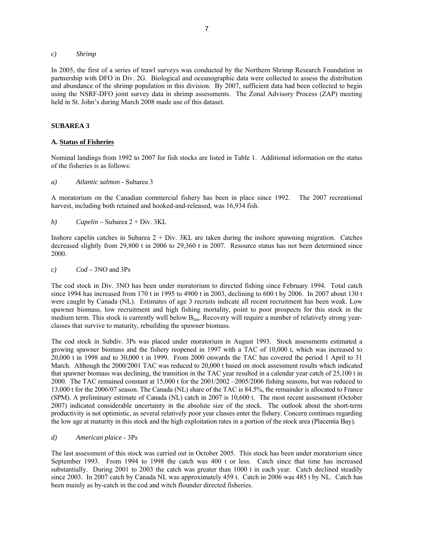#### *c) Shrimp*

In 2005, the first of a series of trawl surveys was conducted by the Northern Shrimp Research Foundation in partnership with DFO in Div. 2G. Biological and oceanographic data were collected to assess the distribution and abundance of the shrimp population in this division. By 2007, sufficient data had been collected to begin using the NSRF-DFO joint survey data in shrimp assessments. The Zonal Advisory Process (ZAP) meeting held in St. John's during March 2008 made use of this dataset.

# **SUBAREA 3**

# **A. Status of Fisheries**

Nominal landings from 1992 to 2007 for fish stocks are listed in Table 1. Additional information on the status of the fisheries is as follows:

*a) Atlantic salmon* - Subarea 3

A moratorium on the Canadian commercial fishery has been in place since 1992. The 2007 recreational harvest, including both retained and hooked-and-released, was 16,934 fish.

*b) Capelin –* Subarea 2 + Div. 3KL

Inshore capelin catches in Subarea 2 + Div. 3KL are taken during the inshore spawning migration. Catches decreased slightly from 29,800 t in 2006 to 29,360 t in 2007. Resource status has not been determined since 2000.

*c) Cod –* 3NO and 3Ps

The cod stock in Div. 3NO has been under moratorium to directed fishing since February 1994. Total catch since 1994 has increased from 170 t in 1995 to 4900 t in 2003, declining to 600 t by 2006. In 2007 about 130 t were caught by Canada (NL). Estimates of age 3 recruits indicate all recent recruitment has been weak. Low spawner biomass, low recruitment and high fishing mortality, point to poor prospects for this stock in the medium term. This stock is currently well below  $B_{lim}$ . Recovery will require a number of relatively strong yearclasses that survive to maturity, rebuilding the spawner biomass.

The cod stock in Subdiv. 3Ps was placed under moratorium in August 1993. Stock assessments estimated a growing spawner biomass and the fishery reopened in 1997 with a TAC of 10,000 t, which was increased to 20,000 t in 1998 and to 30,000 t in 1999. From 2000 onwards the TAC has covered the period 1 April to 31 March. Although the 2000/2001 TAC was reduced to 20,000 t based on stock assessment results which indicated that spawner biomass was declining, the transition in the TAC year resulted in a calendar year catch of 25,100 t in 2000. The TAC remained constant at 15,000 t for the 2001/2002 –2005/2006 fishing seasons, but was reduced to 13,000 t for the 2006/07 season. The Canada (NL) share of the TAC is 84.5%, the remainder is allocated to France (SPM). A preliminary estimate of Canada (NL) catch in 2007 is 10,600 t. The most recent assessment (October 2007) indicated considerable uncertainty in the absolute size of the stock. The outlook about the short-term productivity is not optimistic, as several relatively poor year classes enter the fishery. Concern continues regarding the low age at maturity in this stock and the high exploitation rates in a portion of the stock area (Placentia Bay).

*d) American plaice -* 3Ps

The last assessment of this stock was carried out in October 2005. This stock has been under moratorium since September 1993. From 1994 to 1998 the catch was 400 t or less. Catch since that time has increased substantially. During 2001 to 2003 the catch was greater than 1000 t in each year. Catch declined steadily since 2003. In 2007 catch by Canada NL was approximately 459 t. Catch in 2006 was 485 t by NL. Catch has been mainly as by-catch in the cod and witch flounder directed fisheries.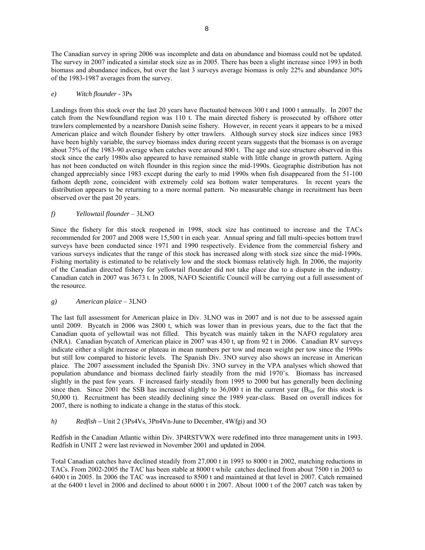8

The Canadian survey in spring 2006 was incomplete and data on abundance and biomass could not be updated. The survey in 2007 indicated a similar stock size as in 2005. There has been a slight increase since 1993 in both biomass and abundance indices, but over the last 3 surveys average biomass is only 22% and abundance 30% of the 1983-1987 averages from the survey.

# *e) Witch flounder -* 3Ps

Landings from this stock over the last 20 years have fluctuated between 300 t and 1000 t annually. In 2007 the catch from the Newfoundland region was 110 t. The main directed fishery is prosecuted by offshore otter trawlers complemented by a nearshore Danish seine fishery. However, in recent years it appears to be a mixed American plaice and witch flounder fishery by otter trawlers. Although survey stock size indices since 1983 have been highly variable, the survey biomass index during recent years suggests that the biomass is on average about 75% of the 1983-90 average when catches were around 800 t. The age and size structure observed in this stock since the early 1980s also appeared to have remained stable with little change in growth pattern. Aging has not been conducted on witch flounder in this region since the mid-1990s. Geographic distribution has not changed appreciably since 1983 except during the early to mid 1990s when fish disappeared from the 51-100 fathom depth zone, coincident with extremely cold sea bottom water temperatures. In recent years the distribution appears to be returning to a more normal pattern. No measurable change in recruitment has been observed over the past 20 years.

# *f) Yellowtail flounder* – 3LNO

Since the fishery for this stock reopened in 1998, stock size has continued to increase and the TACs recommended for 2007 and 2008 were 15,500 t in each year. Annual spring and fall multi-species bottom trawl surveys have been conducted since 1971 and 1990 respectively. Evidence from the commercial fishery and various surveys indicates that the range of this stock has increased along with stock size since the mid-1990s. Fishing mortality is estimated to be relatively low and the stock biomass relatively high. In 2006, the majority of the Canadian directed fishery for yellowtail flounder did not take place due to a dispute in the industry. Canadian catch in 2007 was 3673 t. In 2008, NAFO Scientific Council will be carrying out a full assessment of the resource.

### *g) American plaice* – 3LNO

The last full assessment for American plaice in Div. 3LNO was in 2007 and is not due to be assessed again until 2009. Bycatch in 2006 was 2800 t, which was lower than in previous years, due to the fact that the Canadian quota of yellowtail was not filled. This bycatch was mainly taken in the NAFO regulatory area (NRA). Canadian bycatch of American plaice in 2007 was 430 t, up from 92 t in 2006. Canadian RV surveys indicate either a slight increase or plateau in mean numbers per tow and mean weight per tow since the 1990s but still low compared to historic levels. The Spanish Div. 3NO survey also shows an increase in American plaice. The 2007 assessment included the Spanish Div. 3NO survey in the VPA analyses which showed that population abundance and biomass declined fairly steadily from the mid 1970's. Biomass has increased slightly in the past few years. F increased fairly steadily from 1995 to 2000 but has generally been declining since then. Since 2001 the SSB has increased slightly to 36,000 t in the current year ( $B_{lim}$  for this stock is 50,000 t). Recruitment has been steadily declining since the 1989 year-class. Based on overall indices for 2007, there is nothing to indicate a change in the status of this stock.

*h) Redfish –* Unit 2 (3Ps4Vs, 3Pn4Vn-June to December, 4Wfgi) and 3O

Redfish in the Canadian Atlantic within Div. 3P4RSTVWX were redefined into three management units in 1993. Redfish in UNIT 2 were last reviewed in November 2001 and updated in 2004.

Total Canadian catches have declined steadily from 27,000 t in 1993 to 8000 t in 2002, matching reductions in TACs. From 2002-2005 the TAC has been stable at 8000 t while catches declined from about 7500 t in 2003 to 6400 t in 2005. In 2006 the TAC was increased to 8500 t and maintained at that level in 2007. Catch remained at the 6400 t level in 2006 and declined to about 6000 t in 2007. About 1000 t of the 2007 catch was taken by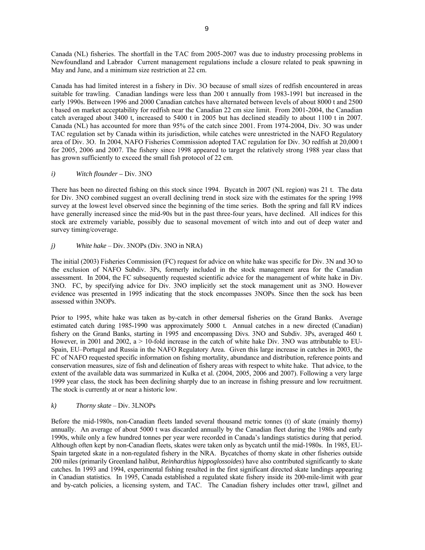Canada (NL) fisheries. The shortfall in the TAC from 2005-2007 was due to industry processing problems in Newfoundland and Labrador Current management regulations include a closure related to peak spawning in May and June, and a minimum size restriction at 22 cm.

Canada has had limited interest in a fishery in Div. 3O because of small sizes of redfish encountered in areas suitable for trawling. Canadian landings were less than 200 t annually from 1983-1991 but increased in the early 1990s. Between 1996 and 2000 Canadian catches have alternated between levels of about 8000 t and 2500 t based on market acceptability for redfish near the Canadian 22 cm size limit. From 2001-2004, the Canadian catch averaged about 3400 t, increased to 5400 t in 2005 but has declined steadily to about 1100 t in 2007. Canada (NL) has accounted for more than 95% of the catch since 2001. From 1974-2004, Div. 3O was under TAC regulation set by Canada within its jurisdiction, while catches were unrestricted in the NAFO Regulatory area of Div. 3O. In 2004, NAFO Fisheries Commission adopted TAC regulation for Div. 3O redfish at 20,000 t for 2005, 2006 and 2007. The fishery since 1998 appeared to target the relatively strong 1988 year class that has grown sufficiently to exceed the small fish protocol of 22 cm.

# *i) Witch flounder –* Div. 3NO

There has been no directed fishing on this stock since 1994. Bycatch in 2007 (NL region) was 21 t. The data for Div. 3NO combined suggest an overall declining trend in stock size with the estimates for the spring 1998 survey at the lowest level observed since the beginning of the time series. Both the spring and fall RV indices have generally increased since the mid-90s but in the past three-four years, have declined. All indices for this stock are extremely variable, possibly due to seasonal movement of witch into and out of deep water and survey timing/coverage.

### *j) White hake* – Div. 3NOPs (Div. 3NO in NRA)

The initial (2003) Fisheries Commission (FC) request for advice on white hake was specific for Div. 3N and 3O to the exclusion of NAFO Subdiv. 3Ps, formerly included in the stock management area for the Canadian assessment. In 2004, the FC subsequently requested scientific advice for the management of white hake in Div. 3NO. FC, by specifying advice for Div. 3NO implicitly set the stock management unit as 3NO. However evidence was presented in 1995 indicating that the stock encompasses 3NOPs. Since then the sock has been assessed within 3NOPs.

Prior to 1995, white hake was taken as by-catch in other demersal fisheries on the Grand Banks. Average estimated catch during 1985-1990 was approximately 5000 t. Annual catches in a new directed (Canadian) fishery on the Grand Banks, starting in 1995 and encompassing Divs. 3NO and Subdiv. 3Ps, averaged 460 t. However, in 2001 and 2002, a > 10-fold increase in the catch of white hake Div. 3NO was attributable to EU-Spain, EU–Portugal and Russia in the NAFO Regulatory Area. Given this large increase in catches in 2003, the FC of NAFO requested specific information on fishing mortality, abundance and distribution, reference points and conservation measures, size of fish and delineation of fishery areas with respect to white hake. That advice, to the extent of the available data was summarized in Kulka et al. (2004, 2005, 2006 and 2007). Following a very large 1999 year class, the stock has been declining sharply due to an increase in fishing pressure and low recruitment. The stock is currently at or near a historic low.

# *k) Thorny skate* – Div. 3LNOPs

Before the mid-1980s, non-Canadian fleets landed several thousand metric tonnes (t) of skate (mainly thorny) annually. An average of about 5000 t was discarded annually by the Canadian fleet during the 1980s and early 1990s, while only a few hundred tonnes per year were recorded in Canada's landings statistics during that period. Although often kept by non-Canadian fleets, skates were taken only as bycatch until the mid-1980s. In 1985, EU-Spain targeted skate in a non-regulated fishery in the NRA. Bycatches of thorny skate in other fisheries outside 200 miles (primarily Greenland halibut, *Reinhardtius hippoglossoides*) have also contributed significantly to skate catches. In 1993 and 1994, experimental fishing resulted in the first significant directed skate landings appearing in Canadian statistics. In 1995, Canada established a regulated skate fishery inside its 200-mile-limit with gear and by-catch policies, a licensing system, and TAC. The Canadian fishery includes otter trawl, gillnet and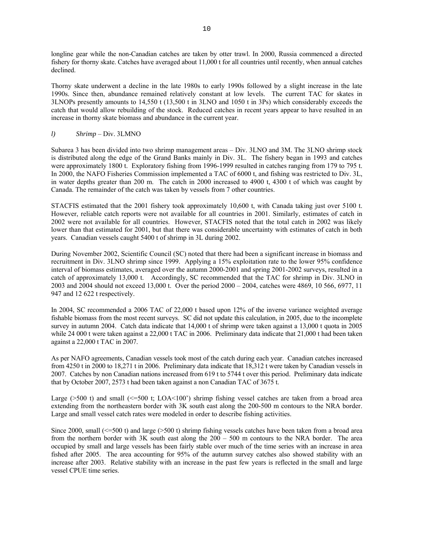longline gear while the non-Canadian catches are taken by otter trawl. In 2000, Russia commenced a directed fishery for thorny skate. Catches have averaged about 11,000 t for all countries until recently, when annual catches declined.

Thorny skate underwent a decline in the late 1980s to early 1990s followed by a slight increase in the late 1990s. Since then, abundance remained relatively constant at low levels. The current TAC for skates in 3LNOPs presently amounts to 14,550 t (13,500 t in 3LNO and 1050 t in 3Ps) which considerably exceeds the catch that would allow rebuilding of the stock. Reduced catches in recent years appear to have resulted in an increase in thorny skate biomass and abundance in the current year.

# *l) Shrimp* – Div. 3LMNO

Subarea 3 has been divided into two shrimp management areas – Div. 3LNO and 3M. The 3LNO shrimp stock is distributed along the edge of the Grand Banks mainly in Div. 3L. The fishery began in 1993 and catches were approximately 1800 t. Exploratory fishing from 1996-1999 resulted in catches ranging from 179 to 795 t. In 2000, the NAFO Fisheries Commission implemented a TAC of 6000 t, and fishing was restricted to Div. 3L, in water depths greater than 200 m. The catch in 2000 increased to 4900 t, 4300 t of which was caught by Canada. The remainder of the catch was taken by vessels from 7 other countries.

STACFIS estimated that the 2001 fishery took approximately 10,600 t, with Canada taking just over 5100 t. However, reliable catch reports were not available for all countries in 2001. Similarly, estimates of catch in 2002 were not available for all countries. However, STACFIS noted that the total catch in 2002 was likely lower than that estimated for 2001, but that there was considerable uncertainty with estimates of catch in both years. Canadian vessels caught 5400 t of shrimp in 3L during 2002.

During November 2002, Scientific Council (SC) noted that there had been a significant increase in biomass and recruitment in Div. 3LNO shrimp since 1999. Applying a 15% exploitation rate to the lower 95% confidence interval of biomass estimates, averaged over the autumn 2000-2001 and spring 2001-2002 surveys, resulted in a catch of approximately 13,000 t. Accordingly, SC recommended that the TAC for shrimp in Div. 3LNO in 2003 and 2004 should not exceed 13,000 t. Over the period 2000 – 2004, catches were 4869, 10 566, 6977, 11 947 and 12 622 t respectively.

In 2004, SC recommended a 2006 TAC of 22,000 t based upon 12% of the inverse variance weighted average fishable biomass from the most recent surveys. SC did not update this calculation, in 2005, due to the incomplete survey in autumn 2004. Catch data indicate that 14,000 t of shrimp were taken against a 13,000 t quota in 2005 while 24 000 t were taken against a 22,000 t TAC in 2006. Preliminary data indicate that 21,000 t had been taken against a 22,000 t TAC in 2007.

As per NAFO agreements, Canadian vessels took most of the catch during each year. Canadian catches increased from 4250 t in 2000 to 18,271 t in 2006. Preliminary data indicate that 18,312 t were taken by Canadian vessels in 2007. Catches by non Canadian nations increased from 619 t to 5744 t over this period. Preliminary data indicate that by October 2007, 2573 t had been taken against a non Canadian TAC of 3675 t.

Large ( $>500$  t) and small ( $\leq 500$  t; LOA $\leq 100$ ) shrimp fishing vessel catches are taken from a broad area extending from the northeastern border with 3K south east along the 200-500 m contours to the NRA border. Large and small vessel catch rates were modeled in order to describe fishing activities.

Since 2000, small ( $\leq$ =500 t) and large (>500 t) shrimp fishing vessels catches have been taken from a broad area from the northern border with 3K south east along the 200 – 500 m contours to the NRA border. The area occupied by small and large vessels has been fairly stable over much of the time series with an increase in area fished after 2005. The area accounting for 95% of the autumn survey catches also showed stability with an increase after 2003. Relative stability with an increase in the past few years is reflected in the small and large vessel CPUE time series.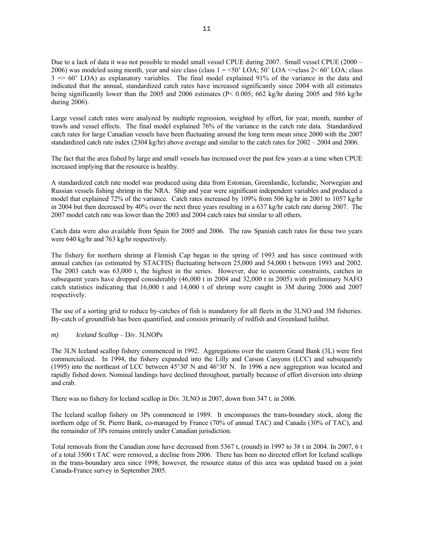Due to a lack of data it was not possible to model small vessel CPUE during 2007. Small vessel CPUE (2000 – 2006) was modeled using month, year and size class (class  $1 = 50^{\circ}$  LOA; 50' LOA  $\le$  = class  $2 \le 60^{\circ}$  LOA; class  $3 \Rightarrow 60'$  LOA) as explanatory variables. The final model explained 91% of the variance in the data and indicated that the annual, standardized catch rates have increased significantly since 2004 with all estimates being significantly lower than the 2005 and 2006 estimates (P< 0.005; 662 kg/hr during 2005 and 586 kg/hr during 2006).

Large vessel catch rates were analyzed by multiple regression, weighted by effort, for year, month, number of trawls and vessel effects. The final model explained 76% of the variance in the catch rate data. Standardized catch rates for large Canadian vessels have been fluctuating around the long term mean since 2000 with the 2007 standardized catch rate index (2304 kg/hr) above average and similar to the catch rates for 2002 – 2004 and 2006.

The fact that the area fished by large and small vessels has increased over the past few years at a time when CPUE increased implying that the resource is healthy.

A standardized catch rate model was produced using data from Estonian, Greenlandic, Icelandic, Norwegian and Russian vessels fishing shrimp in the NRA. Ship and year were significant independent variables and produced a model that explained 72% of the variance. Catch rates increased by 109% from 506 kg/hr in 2001 to 1057 kg/hr in 2004 but then decreased by 40% over the next three years resulting in a 637 kg/hr catch rate during 2007. The 2007 model catch rate was lower than the 2003 and 2004 catch rates but similar to all others.

Catch data were also available from Spain for 2005 and 2006. The raw Spanish catch rates for these two years were 640 kg/hr and 763 kg/hr respectively.

The fishery for northern shrimp at Flemish Cap began in the spring of 1993 and has since continued with annual catches (as estimated by STACFIS) fluctuating between 25,000 and 54,000 t between 1993 and 2002. The 2003 catch was 63,000 t, the highest in the series. However, due to economic constraints, catches in subsequent years have dropped considerably (46,000 t in 2004 and 32,000 t in 2005) with preliminary NAFO catch statistics indicating that 16,000 t and 14,000 t of shrimp were caught in 3M during 2006 and 2007 respectively.

The use of a sorting grid to reduce by-catches of fish is mandatory for all fleets in the 3LNO and 3M fisheries. By-catch of groundfish has been quantified, and consists primarily of redfish and Greenland halibut.

#### *m) Iceland Scallop* – Div. 3LNOPs

The 3LN Iceland scallop fishery commenced in 1992. Aggregations over the eastern Grand Bank (3L) were first commercialized. In 1994, the fishery expanded into the Lilly and Carson Canyons (LCC) and subsequently (1995) into the northeast of LCC between 45°30' N and 46°30' N. In 1996 a new aggregation was located and rapidly fished down. Nominal landings have declined throughout, partially because of effort diversion into shrimp and crab.

There was no fishery for Iceland scallop in Div. 3LNO in 2007, down from 347 t. in 2006.

The Iceland scallop fishery on 3Ps commenced in 1989. It encompasses the trans-boundary stock, along the northern edge of St. Pierre Bank, co-managed by France (70% of annual TAC) and Canada (30% of TAC), and the remainder of 3Ps remains entirely under Canadian jurisdiction.

Total removals from the Canadian zone have decreased from 5367 t, (round) in 1997 to 38 t in 2004. In 2007, 6 t of a total 3500 t TAC were removed, a decline from 2006. There has been no directed effort for Iceland scallops in the trans-boundary area since 1998; however, the resource status of this area was updated based on a joint Canada-France survey in September 2005.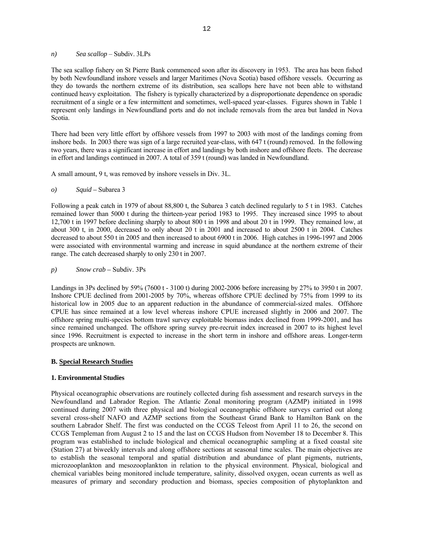*n) Sea scallop* – Subdiv. 3LPs

The sea scallop fishery on St Pierre Bank commenced soon after its discovery in 1953. The area has been fished by both Newfoundland inshore vessels and larger Maritimes (Nova Scotia) based offshore vessels. Occurring as they do towards the northern extreme of its distribution, sea scallops here have not been able to withstand continued heavy exploitation. The fishery is typically characterized by a disproportionate dependence on sporadic recruitment of a single or a few intermittent and sometimes, well-spaced year-classes. Figures shown in Table 1 represent only landings in Newfoundland ports and do not include removals from the area but landed in Nova Scotia.

There had been very little effort by offshore vessels from 1997 to 2003 with most of the landings coming from inshore beds. In 2003 there was sign of a large recruited year-class, with 647 t (round) removed. In the following two years, there was a significant increase in effort and landings by both inshore and offshore fleets. The decrease in effort and landings continued in 2007. A total of 359 t (round) was landed in Newfoundland.

A small amount, 9 t, was removed by inshore vessels in Div. 3L.

*o) Squid –* Subarea 3

Following a peak catch in 1979 of about 88,800 t, the Subarea 3 catch declined regularly to 5 t in 1983. Catches remained lower than 5000 t during the thirteen-year period 1983 to 1995. They increased since 1995 to about 12,700 t in 1997 before declining sharply to about 800 t in 1998 and about 20 t in 1999. They remained low, at about 300 t, in 2000, decreased to only about 20 t in 2001 and increased to about 2500 t in 2004. Catches decreased to about 550 t in 2005 and then increased to about 6900 t in 2006. High catches in 1996-1997 and 2006 were associated with environmental warming and increase in squid abundance at the northern extreme of their range. The catch decreased sharply to only 230 t in 2007.

*p) Snow crab –* Subdiv. 3Ps

Landings in 3Ps declined by 59% (7600 t - 3100 t) during 2002-2006 before increasing by 27% to 3950 t in 2007. Inshore CPUE declined from 2001-2005 by 70%, whereas offshore CPUE declined by 75% from 1999 to its historical low in 2005 due to an apparent reduction in the abundance of commercial-sized males. Offshore CPUE has since remained at a low level whereas inshore CPUE increased slightly in 2006 and 2007. The offshore spring multi-species bottom trawl survey exploitable biomass index declined from 1999-2001, and has since remained unchanged. The offshore spring survey pre-recruit index increased in 2007 to its highest level since 1996. Recruitment is expected to increase in the short term in inshore and offshore areas. Longer-term prospects are unknown.

### **B. Special Research Studies**

# **1. Environmental Studies**

Physical oceanographic observations are routinely collected during fish assessment and research surveys in the Newfoundland and Labrador Region. The Atlantic Zonal monitoring program (AZMP) initiated in 1998 continued during 2007 with three physical and biological oceanographic offshore surveys carried out along several cross-shelf NAFO and AZMP sections from the Southeast Grand Bank to Hamilton Bank on the southern Labrador Shelf. The first was conducted on the CCGS Teleost from April 11 to 26, the second on CCGS Templeman from August 2 to 15 and the last on CCGS Hudson from November 18 to December 8. This program was established to include biological and chemical oceanographic sampling at a fixed coastal site (Station 27) at biweekly intervals and along offshore sections at seasonal time scales. The main objectives are to establish the seasonal temporal and spatial distribution and abundance of plant pigments, nutrients, microzooplankton and mesozooplankton in relation to the physical environment. Physical, biological and chemical variables being monitored include temperature, salinity, dissolved oxygen, ocean currents as well as measures of primary and secondary production and biomass, species composition of phytoplankton and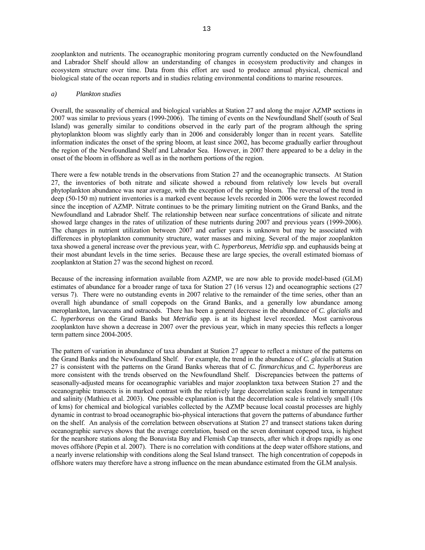zooplankton and nutrients. The oceanographic monitoring program currently conducted on the Newfoundland and Labrador Shelf should allow an understanding of changes in ecosystem productivity and changes in ecosystem structure over time. Data from this effort are used to produce annual physical, chemical and biological state of the ocean reports and in studies relating environmental conditions to marine resources.

#### *a) Plankton studies*

Overall, the seasonality of chemical and biological variables at Station 27 and along the major AZMP sections in 2007 was similar to previous years (1999-2006). The timing of events on the Newfoundland Shelf (south of Seal Island) was generally similar to conditions observed in the early part of the program although the spring phytoplankton bloom was slightly early than in 2006 and considerably longer than in recent years. Satellite information indicates the onset of the spring bloom, at least since 2002, has become gradually earlier throughout the region of the Newfoundland Shelf and Labrador Sea. However, in 2007 there appeared to be a delay in the onset of the bloom in offshore as well as in the northern portions of the region.

There were a few notable trends in the observations from Station 27 and the oceanographic transects. At Station 27, the inventories of both nitrate and silicate showed a rebound from relatively low levels but overall phytoplankton abundance was near average, with the exception of the spring bloom. The reversal of the trend in deep (50-150 m) nutrient inventories is a marked event because levels recorded in 2006 were the lowest recorded since the inception of AZMP. Nitrate continues to be the primary limiting nutrient on the Grand Banks, and the Newfoundland and Labrador Shelf. The relationship between near surface concentrations of silicate and nitrate showed large changes in the rates of utilization of these nutrients during 2007 and previous years (1999-2006). The changes in nutrient utilization between 2007 and earlier years is unknown but may be associated with differences in phytoplankton community structure, water masses and mixing. Several of the major zooplankton taxa showed a general increase over the previous year, with *C. hyperboreus*, *Metridia* spp. and euphausids being at their most abundant levels in the time series. Because these are large species, the overall estimated biomass of zooplankton at Station 27 was the second highest on record.

Because of the increasing information available from AZMP, we are now able to provide model-based (GLM) estimates of abundance for a broader range of taxa for Station 27 (16 versus 12) and oceanographic sections (27 versus 7). There were no outstanding events in 2007 relative to the remainder of the time series, other than an overall high abundance of small copepods on the Grand Banks, and a generally low abundance among meroplankton, larvaceans and ostracods. There has been a general decrease in the abundance of *C. glacialis* and *C. hyperboreus* on the Grand Banks but *Metridia* spp. is at its highest level recorded. Most carnivorous zooplankton have shown a decrease in 2007 over the previous year, which in many species this reflects a longer term pattern since 2004-2005.

The pattern of variation in abundance of taxa abundant at Station 27 appear to reflect a mixture of the patterns on the Grand Banks and the Newfoundland Shelf. For example, the trend in the abundance of *C. glacialis* at Station 27 is consistent with the patterns on the Grand Banks whereas that of *C. finmarchicus* and *C. hyperboreus* are more consistent with the trends observed on the Newfoundland Shelf. Discrepancies between the patterns of seasonally-adjusted means for oceanographic variables and major zooplankton taxa between Station 27 and the oceanographic transects is in marked contrast with the relatively large decorrelation scales found in temperature and salinity (Mathieu et al. 2003). One possible explanation is that the decorrelation scale is relatively small (10s of kms) for chemical and biological variables collected by the AZMP because local coastal processes are highly dynamic in contrast to broad oceanographic bio-physical interactions that govern the patterns of abundance further on the shelf. An analysis of the correlation between observations at Station 27 and transect stations taken during oceanographic surveys shows that the average correlation, based on the seven dominant copepod taxa, is highest for the nearshore stations along the Bonavista Bay and Flemish Cap transects, after which it drops rapidly as one moves offshore (Pepin et al. 2007). There is no correlation with conditions at the deep water offshore stations, and a nearly inverse relationship with conditions along the Seal Island transect. The high concentration of copepods in offshore waters may therefore have a strong influence on the mean abundance estimated from the GLM analysis.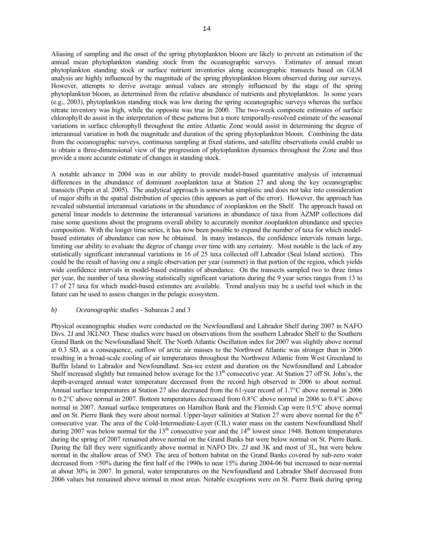Aliasing of sampling and the onset of the spring phytoplankton bloom are likely to prevent an estimation of the annual mean phytoplankton standing stock from the oceanographic surveys. Estimates of annual mean phytoplankton standing stock or surface nutrient inventories along oceanographic transects based on GLM analysis are highly influenced by the magnitude of the spring phytoplankton bloom observed during our surveys. However, attempts to derive average annual values are strongly influenced by the stage of the spring phytoplankton bloom, as determined from the relative abundance of nutrients and phytoplankton. In some years (e.g., 2003), phytoplankton standing stock was low during the spring oceanographic surveys whereas the surface nitrate inventory was high, while the opposite was true in 2000. The two-week composite estimates of surface chlorophyll do assist in the interpretation of these patterns but a more temporally-resolved estimate of the seasonal variations in surface chlorophyll throughout the entire Atlantic Zone would assist in determining the degree of interannual variation in both the magnitude and duration of the spring phytoplankton bloom. Combining the data from the oceanographic surveys, continuous sampling at fixed stations, and satellite observations could enable us to obtain a three-dimensional view of the progression of phytoplankton dynamics throughout the Zone and thus provide a more accurate estimate of changes in standing stock.

A notable advance in 2004 was in our ability to provide model-based quantitative analysis of interannual differences in the abundance of dominant zooplankton taxa at Station 27 and along the key oceanographic transects (Pepin et al. 2005). The analytical approach is somewhat simplistic and does not take into consideration of major shifts in the spatial distribution of species (this appears as part of the error). However, the approach has revealed substantial interannual variations in the abundance of zooplankton on the Shelf. The approach based on general linear models to determine the interannual variations in abundance of taxa from AZMP collections did raise some questions about the programs overall ability to accurately monitor zooplankton abundance and species composition. With the longer time series, it has now been possible to expand the number of taxa for which modelbased estimates of abundance can now be obtained. In many instances, the confidence intervals remain large, limiting our ability to evaluate the degree of change over time with any certainty. Most notable is the lack of any statistically significant interannual variations in 16 of 25 taxa collected off Labrador (Seal Island section). This could be the result of having one a single observation per year (summer) in that portion of the region, which yields wide confidence intervals in model-based estimates of abundance. On the transects sampled two to three times per year, the number of taxa showing statistically significant variations during the 9 year series ranges from 13 to 17 of 27 taxa for which model-based estimates are available. Trend analysis may be a useful tool which in the future can be used to assess changes in the pelagic ecosystem.

#### *b) Oceanographic studies* - Subareas 2 and 3

Physical oceanographic studies were conducted on the Newfoundland and Labrador Shelf during 2007 in NAFO Divs. 2J and 3KLNO. These studies were based on observations from the southern Labrador Shelf to the Southern Grand Bank on the Newfoundland Shelf. The North Atlantic Oscillation index for 2007 was slightly above normal at 0.3 SD, as a consequence, outflow of arctic air masses to the Northwest Atlantic was stronger than in 2006 resulting in a broad-scale cooling of air temperatures throughout the Northwest Atlantic from West Greenland to Baffin Island to Labrador and Newfoundland. Sea-ice extent and duration on the Newfoundland and Labrador Shelf increased slightly but remained below average for the 13<sup>th</sup> consecutive year. At Station 27 off St. John's, the depth-averaged annual water temperature decreased from the record high observed in 2006 to about normal. Annual surface temperatures at Station 27 also decreased from the 61-year record of 1.7°C above normal in 2006 to 0.2°C above normal in 2007. Bottom temperatures decreased from 0.8°C above normal in 2006 to 0.4°C above normal in 2007. Annual surface temperatures on Hamilton Bank and the Flemish Cap were 0.5°C above normal and on St. Pierre Bank they were about normal. Upper-layer salinities at Station 27 were above normal for the  $6<sup>th</sup>$ consecutive year. The area of the Cold-Intermediate-Layer (CIL) water mass on the eastern Newfoundland Shelf during 2007 was below normal for the  $13<sup>th</sup>$  consecutive year and the  $14<sup>th</sup>$  lowest since 1948. Bottom temperatures during the spring of 2007 remained above normal on the Grand Banks but were below normal on St. Pierre Bank. During the fall they were significantly above normal in NAFO Div. 2J and 3K and most of 3L, but were below normal in the shallow areas of 3NO. The area of bottom habitat on the Grand Banks covered by sub-zero water decreased from >50% during the first half of the 1990s to near 15% during 2004-06 but increased to near-normal at about 30% in 2007. In general, water temperatures on the Newfoundland and Labrador Shelf decreased from 2006 values but remained above normal in most areas. Notable exceptions were on St. Pierre Bank during spring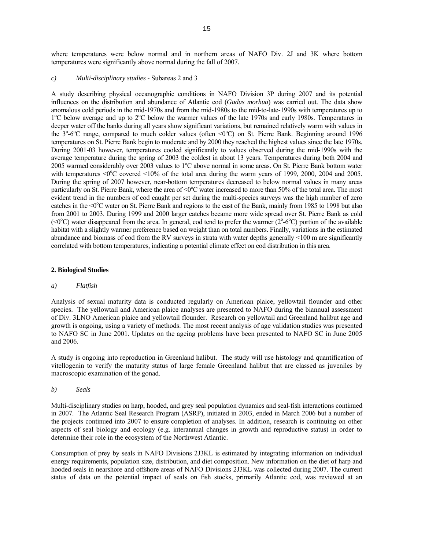15

where temperatures were below normal and in northern areas of NAFO Div. 2J and 3K where bottom temperatures were significantly above normal during the fall of 2007.

# *c) Multi-disciplinary studies* - Subareas 2 and 3

A study describing physical oceanographic conditions in NAFO Division 3P during 2007 and its potential influences on the distribution and abundance of Atlantic cod (*Gadus morhua*) was carried out. The data show anomalous cold periods in the mid-1970s and from the mid-1980s to the mid-to-late-1990s with temperatures up to <sup>1</sup>°C below average and up to <sup>2</sup>°C below the warmer values of the late 1970s and early 1980s. Temperatures in deeper water off the banks during all years show significant variations, but remained relatively warm with values in the 3<sup>o</sup>-6<sup>o</sup>C range, compared to much colder values (often <0<sup>o</sup>C) on St. Pierre Bank. Beginning around 1996 temperatures on St. Pierre Bank begin to moderate and by 2000 they reached the highest values since the late 1970s. During 2001-03 however, temperatures cooled significantly to values observed during the mid-1990s with the average temperature during the spring of 2003 the coldest in about 13 years. Temperatures during both 2004 and 2005 warmed considerably over 2003 values to 1°C above normal in some areas. On St. Pierre Bank bottom water with temperatures  $\leq 0^{\circ}$ C covered  $\leq 10\%$  of the total area during the warm years of 1999, 2000, 2004 and 2005. During the spring of 2007 however, near-bottom temperatures decreased to below normal values in many areas particularly on St. Pierre Bank, where the area of  $\leq 0\degree$ C water increased to more than 50% of the total area. The most evident trend in the numbers of cod caught per set during the multi-species surveys was the high number of zero catches in the <0°C water on St. Pierre Bank and regions to the east of the Bank, mainly from 1985 to 1998 but also from 2001 to 2003. During 1999 and 2000 larger catches became more wide spread over St. Pierre Bank as cold  $( $0^{\circ}C$ )$  water disappeared from the area. In general, cod tend to prefer the warmer ( $2^{\circ}$ - $6^{\circ}C$ ) portion of the available habitat with a slightly warmer preference based on weight than on total numbers. Finally, variations in the estimated abundance and biomass of cod from the RV surveys in strata with water depths generally <100 m are significantly correlated with bottom temperatures, indicating a potential climate effect on cod distribution in this area.

# **2. Biological Studies**

# *a) Flatfish*

Analysis of sexual maturity data is conducted regularly on American plaice, yellowtail flounder and other species. The yellowtail and American plaice analyses are presented to NAFO during the biannual assessment of Div. 3LNO American plaice and yellowtail flounder. Research on yellowtail and Greenland halibut age and growth is ongoing, using a variety of methods. The most recent analysis of age validation studies was presented to NAFO SC in June 2001. Updates on the ageing problems have been presented to NAFO SC in June 2005 and 2006.

A study is ongoing into reproduction in Greenland halibut. The study will use histology and quantification of vitellogenin to verify the maturity status of large female Greenland halibut that are classed as juveniles by macroscopic examination of the gonad.

*b) Seals*

Multi-disciplinary studies on harp, hooded, and grey seal population dynamics and seal-fish interactions continued in 2007. The Atlantic Seal Research Program (ASRP), initiated in 2003, ended in March 2006 but a number of the projects continued into 2007 to ensure completion of analyses. In addition, research is continuing on other aspects of seal biology and ecology (e.g. interannual changes in growth and reproductive status) in order to determine their role in the ecosystem of the Northwest Atlantic.

Consumption of prey by seals in NAFO Divisions 2J3KL is estimated by integrating information on individual energy requirements, population size, distribution, and diet composition. New information on the diet of harp and hooded seals in nearshore and offshore areas of NAFO Divisions 2J3KL was collected during 2007. The current status of data on the potential impact of seals on fish stocks, primarily Atlantic cod, was reviewed at an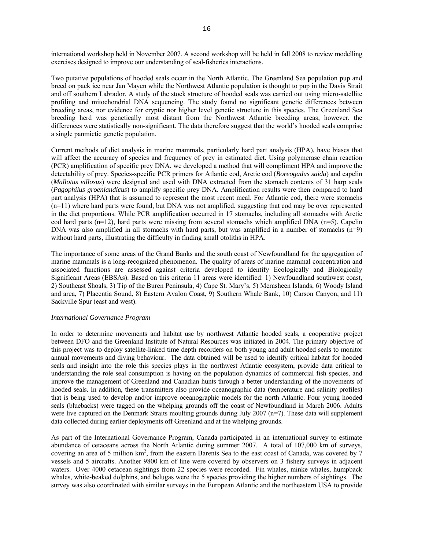international workshop held in November 2007. A second workshop will be held in fall 2008 to review modelling exercises designed to improve our understanding of seal-fisheries interactions.

Two putative populations of hooded seals occur in the North Atlantic. The Greenland Sea population pup and breed on pack ice near Jan Mayen while the Northwest Atlantic population is thought to pup in the Davis Strait and off southern Labrador. A study of the stock structure of hooded seals was carried out using micro-satellite profiling and mitochondrial DNA sequencing. The study found no significant genetic differences between breeding areas, nor evidence for cryptic nor higher level genetic structure in this species. The Greenland Sea breeding herd was genetically most distant from the Northwest Atlantic breeding areas; however, the differences were statistically non-significant. The data therefore suggest that the world's hooded seals comprise a single panmictic genetic population.

Current methods of diet analysis in marine mammals, particularly hard part analysis (HPA), have biases that will affect the accuracy of species and frequency of prey in estimated diet. Using polymerase chain reaction (PCR) amplification of specific prey DNA, we developed a method that will compliment HPA and improve the detectability of prey. Species-specific PCR primers for Atlantic cod, Arctic cod (*Boreogadus saida*) and capelin (*Mallotus villosus*) were designed and used with DNA extracted from the stomach contents of 31 harp seals (*Pagophilus groenlandicus*) to amplify specific prey DNA. Amplification results were then compared to hard part analysis (HPA) that is assumed to represent the most recent meal. For Atlantic cod, there were stomachs (n=11) where hard parts were found, but DNA was not amplified, suggesting that cod may be over represented in the diet proportions. While PCR amplification occurred in 17 stomachs, including all stomachs with Arctic cod hard parts (n=12), hard parts were missing from several stomachs which amplified DNA (n=5). Capelin DNA was also amplified in all stomachs with hard parts, but was amplified in a number of stomachs  $(n=9)$ without hard parts, illustrating the difficulty in finding small otoliths in HPA.

The importance of some areas of the Grand Banks and the south coast of Newfoundland for the aggregation of marine mammals is a long-recognized phenomenon. The quality of areas of marine mammal concentration and associated functions are assessed against criteria developed to identify Ecologically and Biologically Significant Areas (EBSAs). Based on this criteria 11 areas were identified: 1) Newfoundland southwest coast, 2) Southeast Shoals, 3) Tip of the Buren Peninsula, 4) Cape St. Mary's, 5) Merasheen Islands, 6) Woody Island and area, 7) Placentia Sound, 8) Eastern Avalon Coast, 9) Southern Whale Bank, 10) Carson Canyon, and 11) Sackville Spur (east and west).

### *International Governance Program*

In order to determine movements and habitat use by northwest Atlantic hooded seals, a cooperative project between DFO and the Greenland Institute of Natural Resources was initiated in 2004. The primary objective of this project was to deploy satellite-linked time depth recorders on both young and adult hooded seals to monitor annual movements and diving behaviour. The data obtained will be used to identify critical habitat for hooded seals and insight into the role this species plays in the northwest Atlantic ecosystem, provide data critical to understanding the role seal consumption is having on the population dynamics of commercial fish species, and improve the management of Greenland and Canadian hunts through a better understanding of the movements of hooded seals. In addition, these transmitters also provide oceanographic data (temperature and salinity profiles) that is being used to develop and/or improve oceanographic models for the north Atlantic. Four young hooded seals (bluebacks) were tagged on the whelping grounds off the coast of Newfoundland in March 2006. Adults were live captured on the Denmark Straits moulting grounds during July 2007 (n=7). These data will supplement data collected during earlier deployments off Greenland and at the whelping grounds.

As part of the International Governance Program, Canada participated in an international survey to estimate abundance of cetaceans across the North Atlantic during summer 2007. A total of 107,000 km of surveys, covering an area of 5 million km<sup>2</sup>, from the eastern Barents Sea to the east coast of Canada, was covered by 7 vessels and 5 aircrafts. Another 9800 km of line were covered by observers on 3 fishery surveys in adjacent waters. Over 4000 cetacean sightings from 22 species were recorded. Fin whales, minke whales, humpback whales, white-beaked dolphins, and belugas were the 5 species providing the higher numbers of sightings. The survey was also coordinated with similar surveys in the European Atlantic and the northeastern USA to provide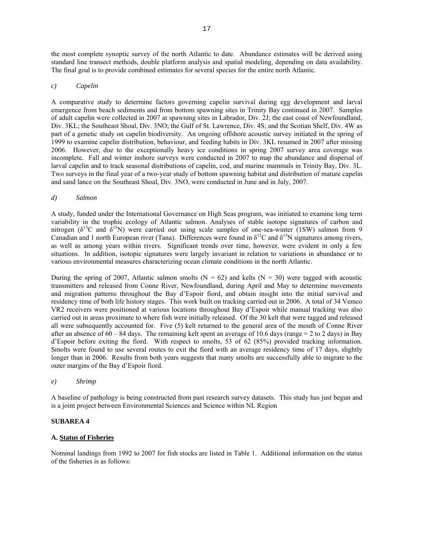the most complete synoptic survey of the north Atlantic to date. Abundance estimates will be derived using standard line transect methods, double platform analysis and spatial modeling, depending on data availability. The final goal is to provide combined estimates for several species for the entire north Atlantic.

### *c) Capelin*

A comparative study to determine factors governing capelin survival during egg development and larval emergence from beach sediments and from bottom spawning sites in Trinity Bay continued in 2007. Samples of adult capelin were collected in 2007 at spawning sites in Labrador, Div. 2J; the east coast of Newfoundland, Div. 3KL; the Southeast Shoal, Div. 3NO; the Gulf of St. Lawrence, Div. 4S; and the Scotian Shelf, Div. 4W as part of a genetic study on capelin biodiversity. An ongoing offshore acoustic survey initiated in the spring of 1999 to examine capelin distribution, behaviour, and feeding habits in Div. 3KL resumed in 2007 after missing 2006. However, due to the exceptionally heavy ice conditions in spring 2007 survey area coverage was incomplete. Fall and winter inshore surveys were conducted in 2007 to map the abundance and dispersal of larval capelin and to track seasonal distributions of capelin, cod, and marine mammals in Trinity Bay, Div. 3L. Two surveys in the final year of a two-year study of bottom spawning habitat and distribution of mature capelin and sand lance on the Southeast Shoal, Div. 3NO, were conducted in June and in July, 2007.

### *d) Salmon*

A study, funded under the International Governance on High Seas program, was initiated to examine long term variability in the trophic ecology of Atlantic salmon. Analyses of stable isotope signatures of carbon and nitrogen ( $\delta^{13}$ C and  $\delta^{15}$ N) were carried out using scale samples of one-sea-winter (1SW) salmon from 9 Canadian and 1 north European river (Tana). Differences were found in  $\delta^{13}$ C and  $\delta^{15}$ N signatures among rivers, as well as among years within rivers. Significant trends over time, however, were evident in only a few situations. In addition, isotopic signatures were largely invariant in relation to variations in abundance or to various environmental measures characterizing ocean climate conditions in the north Atlantic.

During the spring of 2007, Atlantic salmon smolts ( $N = 62$ ) and kelts ( $N = 30$ ) were tagged with acoustic transmitters and released from Conne River, Newfoundland, during April and May to determine movements and migration patterns throughout the Bay d'Espoir fiord, and obtain insight into the initial survival and residency time of both life history stages. This work built on tracking carried out in 2006. A total of 34 Vemco VR2 receivers were positioned at various locations throughout Bay d'Espoir while manual tracking was also carried out in areas proximate to where fish were initially released. Of the 30 kelt that were tagged and released all were subsequently accounted for. Five (5) kelt returned to the general area of the mouth of Conne River after an absence of  $60 - 84$  days. The remaining kelt spent an average of 10.6 days (range  $= 2$  to 2 days) in Bay d'Espoir before exiting the fiord. With respect to smolts, 53 of 62 (85%) provided tracking information. Smolts were found to use several routes to exit the fiord with an average residency time of 17 days, slightly longer than in 2006. Results from both years suggests that many smolts are successfully able to migrate to the outer margins of the Bay d'Espoir fiord.

### *e) Shrimp*

A baseline of pathology is being constructed from past research survey datasets. This study has just begun and is a joint project between Environmental Sciences and Science within NL Region

#### **SUBAREA 4**

#### **A. Status of Fisheries**

Nominal landings from 1992 to 2007 for fish stocks are listed in Table 1. Additional information on the status of the fisheries is as follows: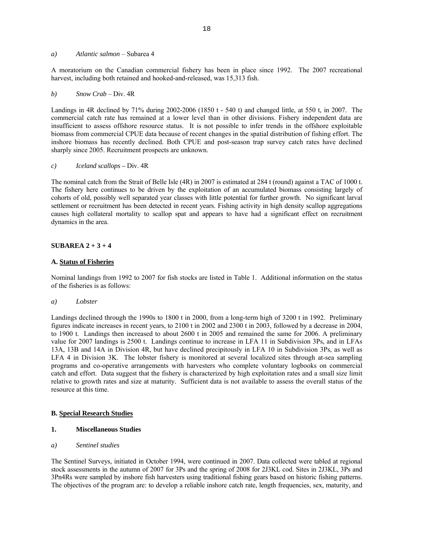### *a) Atlantic salmon* – Subarea 4

A moratorium on the Canadian commercial fishery has been in place since 1992. The 2007 recreational harvest, including both retained and hooked-and-released, was 15,313 fish.

#### *b) Snow Crab* – Div. 4R

Landings in 4R declined by 71% during 2002-2006 (1850 t - 540 t) and changed little, at 550 t, in 2007. The commercial catch rate has remained at a lower level than in other divisions. Fishery independent data are insufficient to assess offshore resource status. It is not possible to infer trends in the offshore exploitable biomass from commercial CPUE data because of recent changes in the spatial distribution of fishing effort. The inshore biomass has recently declined. Both CPUE and post-season trap survey catch rates have declined sharply since 2005. Recruitment prospects are unknown.

#### *c) Iceland* s*callops –* Div. 4R

The nominal catch from the Strait of Belle Isle (4R) in 2007 is estimated at 284 t (round) against a TAC of 1000 t. The fishery here continues to be driven by the exploitation of an accumulated biomass consisting largely of cohorts of old, possibly well separated year classes with little potential for further growth. No significant larval settlement or recruitment has been detected in recent years. Fishing activity in high density scallop aggregations causes high collateral mortality to scallop spat and appears to have had a significant effect on recruitment dynamics in the area.

#### **SUBAREA 2 + 3 + 4**

#### **A. Status of Fisheries**

Nominal landings from 1992 to 2007 for fish stocks are listed in Table 1. Additional information on the status of the fisheries is as follows:

#### *a) Lobster*

Landings declined through the 1990s to 1800 t in 2000, from a long-term high of 3200 t in 1992. Preliminary figures indicate increases in recent years, to 2100 t in 2002 and 2300 t in 2003, followed by a decrease in 2004, to 1900 t. Landings then increased to about 2600 t in 2005 and remained the same for 2006. A preliminary value for 2007 landings is 2500 t. Landings continue to increase in LFA 11 in Subdivision 3Ps, and in LFAs 13A, 13B and 14A in Division 4R, but have declined precipitously in LFA 10 in Subdivision 3Ps, as well as LFA 4 in Division 3K. The lobster fishery is monitored at several localized sites through at-sea sampling programs and co-operative arrangements with harvesters who complete voluntary logbooks on commercial catch and effort. Data suggest that the fishery is characterized by high exploitation rates and a small size limit relative to growth rates and size at maturity. Sufficient data is not available to assess the overall status of the resource at this time.

#### **B. Special Research Studies**

#### **1. Miscellaneous Studies**

### *a) Sentinel studies*

The Sentinel Surveys, initiated in October 1994, were continued in 2007. Data collected were tabled at regional stock assessments in the autumn of 2007 for 3Ps and the spring of 2008 for 2J3KL cod. Sites in 2J3KL, 3Ps and 3Pn4Rs were sampled by inshore fish harvesters using traditional fishing gears based on historic fishing patterns. The objectives of the program are: to develop a reliable inshore catch rate, length frequencies, sex, maturity, and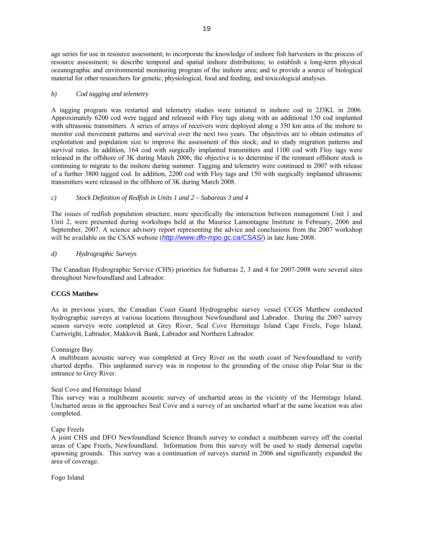age series for use in resource assessment; to incorporate the knowledge of inshore fish harvesters in the process of resource assessment; to describe temporal and spatial inshore distributions; to establish a long-term physical oceanographic and environmental monitoring program of the inshore area; and to provide a source of biological material for other researchers for genetic, physiological, food and feeding, and toxicological analyses.

### *b) Cod tagging and telemetry*

A tagging program was restarted and telemetry studies were initiated in inshore cod in 2J3KL in 2006. Approximately 6200 cod were tagged and released with Floy tags along with an additional 150 cod implanted with ultrasonic transmitters. A series of arrays of receivers were deployed along a 350 km area of the inshore to monitor cod movement patterns and survival over the next two years. The objectives are to obtain estimates of exploitation and population size to improve the assessment of this stock; and to study migration patterns and survival rates. In addition, 164 cod with surgically implanted transmitters and 1100 cod with Floy tags were released in the offshore of 3K during March 2006; the objective is to determine if the remnant offshore stock is continuing to migrate to the inshore during summer. Tagging and telemetry were continued in 2007 with release of a further 3800 tagged cod. In addition, 2200 cod with Floy tags and 150 with surgically implanted ultrasonic transmitters were released in the offshore of 3K during March 2008.

# *c) Stock Definition of Redfish in Units 1 and 2 – Subareas 3 and 4*

The issues of redfish population structure, more specifically the interaction between management Unit 1 and Unit 2, were presented during workshops held at the Maurice Lamontagne Institute in February, 2006 and September, 2007. A science advisory report representing the advice and conclusions from the 2007 workshop will be available on the CSAS website (*http://www.dfo-mpo.gc.ca/CSAS*/) in late June 2008.

# *d) Hydrographic Surveys*

The Canadian Hydrographic Service (CHS) priorities for Subareas 2, 3 and 4 for 2007-2008 were several sites throughout Newfoundland and Labrador.

### **CCGS Matthew**

As in previous years, the Canadian Coast Guard Hydrographic survey vessel CCGS Matthew conducted hydrographic surveys at various locations throughout Newfoundland and Labrador. During the 2007 survey season surveys were completed at Grey River, Seal Cove Hermitage Island Cape Freels, Fogo Island, Cartwright, Labrador, Makkovik Bank, Labrador and Northern Labrador.

### Connaigre Bay

A multibeam acoustic survey was completed at Grey River on the south coast of Newfoundland to verify charted depths. This unplanned survey was in response to the grounding of the cruise ship Polar Star in the entrance to Grey River.

# Seal Cove and Hermitage Island

This survey was a multibeam acoustic survey of uncharted areas in the vicinity of the Hermitage Island. Uncharted areas in the approaches Seal Cove and a survey of an uncharted wharf at the same location was also completed.

Cape Freels

A joint CHS and DFO Newfoundland Science Branch survey to conduct a multibeam survey off the coastal areas of Cape Freels, Newfoundland. Information from this survey will be used to study demersal capelin spawning grounds. This survey was a continuation of surveys started in 2006 and significantly expanded the area of coverage.

Fogo Island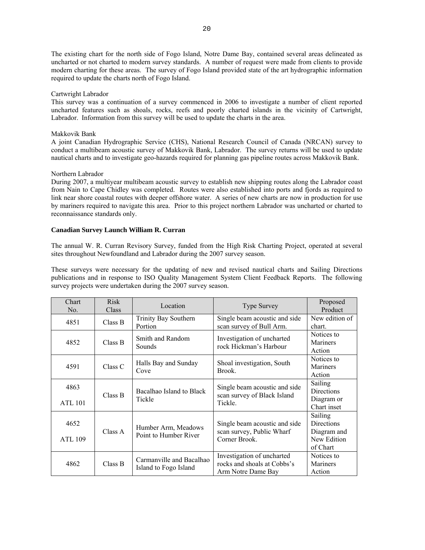The existing chart for the north side of Fogo Island, Notre Dame Bay, contained several areas delineated as uncharted or not charted to modern survey standards. A number of request were made from clients to provide modern charting for these areas. The survey of Fogo Island provided state of the art hydrographic information required to update the charts north of Fogo Island.

### Cartwright Labrador

This survey was a continuation of a survey commenced in 2006 to investigate a number of client reported uncharted features such as shoals, rocks, reefs and poorly charted islands in the vicinity of Cartwright, Labrador. Information from this survey will be used to update the charts in the area.

# Makkovik Bank

A joint Canadian Hydrographic Service (CHS), National Research Council of Canada (NRCAN) survey to conduct a multibeam acoustic survey of Makkovik Bank, Labrador. The survey returns will be used to update nautical charts and to investigate geo-hazards required for planning gas pipeline routes across Makkovik Bank.

# Northern Labrador

During 2007, a multiyear multibeam acoustic survey to establish new shipping routes along the Labrador coast from Nain to Cape Chidley was completed. Routes were also established into ports and fjords as required to link near shore coastal routes with deeper offshore water. A series of new charts are now in production for use by mariners required to navigate this area. Prior to this project northern Labrador was uncharted or charted to reconnaissance standards only.

# **Canadian Survey Launch William R. Curran**

The annual W. R. Curran Revisory Survey, funded from the High Risk Charting Project, operated at several sites throughout Newfoundland and Labrador during the 2007 survey season.

These surveys were necessary for the updating of new and revised nautical charts and Sailing Directions publications and in response to ISO Quality Management System Client Feedback Reports. The following survey projects were undertaken during the 2007 survey season.

| Chart<br>No.           | <b>Risk</b><br><b>Class</b> | Location                                          | <b>Type Survey</b>                                                              | Proposed<br>Product                                                    |
|------------------------|-----------------------------|---------------------------------------------------|---------------------------------------------------------------------------------|------------------------------------------------------------------------|
| 4851                   | Class B                     | Trinity Bay Southern<br>Portion                   | Single beam acoustic and side<br>scan survey of Bull Arm.                       | New edition of<br>chart.                                               |
| 4852                   | Class B                     | Smith and Random<br>Sounds                        | Investigation of uncharted<br>rock Hickman's Harbour                            | Notices to<br>Mariners<br>Action                                       |
| 4591                   | Class C                     | Halls Bay and Sunday<br>Cove                      | Shoal investigation, South<br>Brook.                                            | Notices to<br>Mariners<br>Action                                       |
| 4863<br>ATL 101        | Class B                     | Bacalhao Island to Black<br>Tickle                | Single beam acoustic and side<br>scan survey of Black Island<br>Tickle.         | Sailing<br>Directions<br>Diagram or<br>Chart inset                     |
| 4652<br><b>ATL 109</b> | Class A                     | Humber Arm, Meadows<br>Point to Humber River      | Single beam acoustic and side<br>scan survey, Public Wharf<br>Corner Brook.     | Sailing<br><b>Directions</b><br>Diagram and<br>New Edition<br>of Chart |
| 4862                   | Class B                     | Carmanville and Bacalhao<br>Island to Fogo Island | Investigation of uncharted<br>rocks and shoals at Cobbs's<br>Arm Notre Dame Bay | Notices to<br>Mariners<br>Action                                       |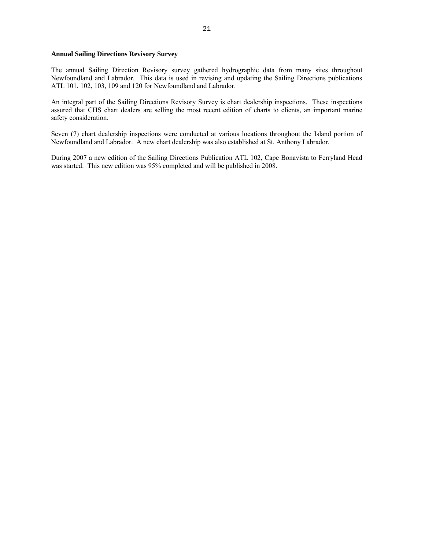### **Annual Sailing Directions Revisory Survey**

The annual Sailing Direction Revisory survey gathered hydrographic data from many sites throughout Newfoundland and Labrador. This data is used in revising and updating the Sailing Directions publications ATL 101, 102, 103, 109 and 120 for Newfoundland and Labrador.

An integral part of the Sailing Directions Revisory Survey is chart dealership inspections. These inspections assured that CHS chart dealers are selling the most recent edition of charts to clients, an important marine safety consideration.

Seven (7) chart dealership inspections were conducted at various locations throughout the Island portion of Newfoundland and Labrador. A new chart dealership was also established at St. Anthony Labrador.

During 2007 a new edition of the Sailing Directions Publication ATL 102, Cape Bonavista to Ferryland Head was started. This new edition was 95% completed and will be published in 2008.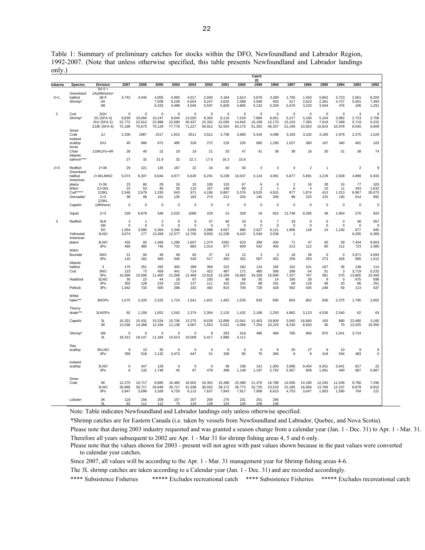Table 1: Summary of preliminary catches for stocks within the DFO, Newfoundland and Labrador Region, 1992-2007. (Note that unless otherwise specified, this table presents Newfoundland and Labrador landings only.)

|                |                                                                |                                                  |                                   |                                           |                                         |                                   |                                   |                                    |                                          |                                          | Catch<br>(t)                     |                                          |                                          |                                         |                                  |                                         |                                     |                                      |
|----------------|----------------------------------------------------------------|--------------------------------------------------|-----------------------------------|-------------------------------------------|-----------------------------------------|-----------------------------------|-----------------------------------|------------------------------------|------------------------------------------|------------------------------------------|----------------------------------|------------------------------------------|------------------------------------------|-----------------------------------------|----------------------------------|-----------------------------------------|-------------------------------------|--------------------------------------|
| <b>Subarea</b> | <b>Species</b>                                                 | <b>Division</b>                                  | 2007                              | 2006                                      | 2005                                    | 2004                              | 2003                              | 2002                               | 2001                                     | 2000                                     | 1999                             | 1998                                     | 1997                                     | 1996                                    | 1995                             | 1994                                    | 1993                                | 1992                                 |
| $0+1$          | Greenland<br>halibut<br>Shrimp'                                | $SAO +$<br>1A(offshore)+<br>1B-F<br>0A<br>0B     | 3,742                             | 4,045                                     | 4,005<br>7,508<br>6,333                 | 4,993<br>6,236<br>4,488           | 4,017<br>6,654<br>4,584           | 2,560<br>6,247<br>5,597            | 3,184<br>3,625<br>5,829                  | 2,614<br>1,588<br>4,805                  | 3,876<br>2,046<br>5,132          | 3,300<br>933<br>5,204                    | 1,700<br>517<br>5,670                    | 1,453<br>2,623<br>3,220                 | 5,852<br>2,361<br>3,564          | 3,723<br>4,727<br>476                   | 2,561<br>5,501<br>106               | 8,200<br>7,493<br>1,291              |
| $\overline{2}$ | Cod<br>Shrimp'                                                 | 2GH<br>2G (SFA 4)<br>2HJ (SFA 5)<br>2J3K (SFA 6) | 0<br>9,839<br>22,772<br>72,196    | $\mathbf 0$<br>10,084<br>22,612<br>75,673 | $\pmb{0}$<br>10,247<br>22,898<br>75,129 | 0<br>9,644<br>22,690<br>77,776    | 0<br>13,020<br>30,437<br>71,227   | 0<br>8,393<br>15,332<br>59,912     | $\mathbf 0$<br>8,116<br>15,036<br>52,554 | $\mathbf 0$<br>7,529<br>14,645<br>63,175 | 0<br>7,884<br>15,109<br>51,202   | $\mathbf 0$<br>8,051<br>15,170<br>46,337 | $\mathbf 0$<br>5,217<br>15,103<br>21,246 | $\mathbf 0$<br>5,160<br>7,383<br>10,923 | 0<br>5,104<br>7,616<br>10,914    | $\mathbf 0$<br>3,982<br>7,499<br>10,978 | 3<br>2,723<br>5,719<br>8,035        | 0<br>2,706<br>6,315<br>6,609         |
|                | Snow<br>Crab<br>Iceland                                        | 2J                                               | 2,330                             | 1987                                      | 1517                                    | 1,915                             | 2511                              | 3,521                              | 3,738                                    | 3,685                                    | 5,416                            | 4,098                                    | 3,183                                    | 3,102                                   | 3,189                            | 2,978                                   | 2,275                               | 1,529                                |
|                | scallop<br>Arctic                                              | 2HJ                                              | 40                                | 686                                       | 672                                     | 495                               | 528                               | 272                                | 218                                      | 230                                      | 685                              | 1,295                                    | 1,027                                    | 360                                     | 167                              | 340                                     | 401                                 | 103                                  |
|                | Charr<br>Atlantic                                              | 2J3KLPs+4R                                       | 28                                | 40                                        | 22                                      | 19                                | 19                                | 21                                 | 33                                       | 47                                       | 41                               | 38                                       | 38                                       | 16                                      | 30                               | 31                                      | 38                                  | 74                                   |
|                | salmon****                                                     |                                                  | 27                                | 32                                        | 31.9                                    | 32                                | 22.1                              | 17.6                               | 16.3                                     | 15.6                                     |                                  |                                          |                                          |                                         |                                  |                                         |                                     |                                      |
| $2 + 3$        | Redfish<br>Greenland<br>halibut                                | $2+3K$<br>2+3KLMNO                               | 29<br>5,073                       | 221<br>6,307                              | 135<br>6,644                            | 167<br>4,877                      | 22<br>6,620                       | 34<br>6,291                        | 40<br>8,238                              | 30<br>10,637                             | 3<br>4,124                       | 3<br>4,081                               | $\overline{4}$<br>5,877                  | $\overline{2}$<br>5,891                 | $\mathbf{1}$<br>3,229            | 2,928                                   | $\overline{2}$<br>4,899             | 9<br>6,933                           |
|                | American<br>plaice                                             | $2+3K$                                           | 23                                | 60                                        | 29                                      | 16                                | 33                                | 100                                | 133                                      | 67                                       | 6                                | 6                                        | $\overline{2}$                           | 16                                      | 28                               | 16                                      | 77                                  | 103                                  |
|                | Witch<br>$\text{Cod}^{\star\star\star\star\star}$<br>Grenadier | 2J+3KL<br>2J3KL<br>$2 + 3$<br>2J3KL              | 22<br>2,546<br>38                 | 53<br>2,679<br>99                         | 40<br>1,330<br>151                      | 26<br>643<br>135                  | 110<br>971<br>183                 | 167<br>4,196<br>274                | 148<br>6,887<br>212                      | 90<br>5,376<br>234                       | $\overline{2}$<br>8,525<br>145   | 1<br>4,501<br>209                        | 6<br>877<br>98                           | $\overline{4}$<br>1,874<br>225          | 10<br>413<br>125                 | 11<br>1,313<br>130                      | 343<br>8,967<br>614                 | 1,632<br>26,073<br>992               |
|                | Capelin                                                        | (offshore)                                       | 0                                 | $\mathbf 0$                               | 0                                       | $\mathbf 0$                       | $\mathsf 0$                       | 0                                  | $\mathbf 0$                              | 0                                        | 0                                | $\mathbf 0$                              | $\mathbf 0$                              | $\mathbf 0$                             | $\mathbf 0$                      | $\mathbf 0$                             | $\mathbf 0$                         | $\mathbf 0$                          |
|                | Squid                                                          | $2 + 3$                                          | 228                               | 6,879                                     | 548                                     | 2,525                             | 1089                              | 229                                | 23                                       | 328                                      | 19                               | 815                                      | 12,748                                   | 8,285                                   | 48                               | 1,954                                   | 276                                 | 924                                  |
| 3              | Redfish                                                        | 3LN<br>3M<br>30                                  | 3<br>$\pmb{0}$<br>1.054           | $\overline{1}$<br>$\mathbf 0$<br>3,580    | $\overline{2}$<br>$\mathbf 0$<br>5,364  | 0<br>$\mathbf 0$<br>2,340         | 9<br>$\Omega$<br>3,093            | 47<br>$\mathbf 0$<br>2.988         | 40<br>$\mathbf 0$<br>4,557               | 33<br>$\Omega$<br>880                    | 5<br>$\pmb{0}$<br>2.027          | $\overline{7}$<br>$\mathbf 0$<br>6,121   | 19<br>$\Omega$<br>1,895                  | 0<br>$\mathbf 0$<br>128                 | $\mathbf 0$<br>$\mathbf 0$<br>24 | $\mathbf 0$<br>$\mathbf 0$<br>1,192     | 46<br>$\mathbf 0$<br>677            | 657<br>$\Omega$<br>845               |
|                | Yellowtail<br>American                                         | 3LNO                                             | 3,674                             | 177                                       | 13,268                                  | 12,577                            | 12,705                            | 9,959                              | 12,238                                   | 9,422                                    | 5,540                            | 3,536                                    | $\mathbf{1}$                             |                                         |                                  |                                         | 6,265                               | 6,369                                |
|                | plaice<br>Witch                                                | 3LNO<br>3Ps                                      | 434<br>460                        | 93<br>485                                 | 1,466<br>745                            | 1,290<br>731                      | 1,607<br>883                      | 1,374<br>1,014                     | 1592<br>877                              | 623<br>609                               | 269<br>542                       | 204<br>405                               | 71<br>213                                | 47<br>112                               | 65<br>80                         | 59<br>112                               | 7,454<br>723                        | 9,663<br>2,380                       |
|                | flounder<br>Atlantic                                           | 3NO<br>3Ps                                       | 21<br>110                         | 94<br>182                                 | 49<br>483                               | 49<br>540                         | 62<br>529                         | 27<br>517                          | 13<br>450                                | 12<br>332                                | 3<br>507                         | 3<br>452                                 | 18<br>259                                | 26<br>250                               | $\mathbf 0$<br>273               | $\mathbf 0$<br>429                      | 3,971<br>956                        | 4,093<br>1,012                       |
|                | halibut<br>Cod<br>Haddock                                      | 3<br>3NO<br>3Ps<br>3LNO<br>3Ps                   | 170<br>123<br>10.599<br>30<br>302 | 251<br>73<br>10.506<br>23<br>128          | 255<br>459<br>11,400<br>44<br>219       | 303<br>441<br>11.046<br>18<br>123 | 399<br>714<br>12,469<br>67<br>137 | 369<br>422<br>12,618<br>183<br>111 | 315<br>487<br>13,339<br>86<br>102        | 182<br>171<br>19,683<br>69<br>162        | 124<br>485<br>24,328<br>50<br>98 | 165<br>306<br>15,690<br>14<br>191        | 152<br>289<br>7,327<br>190<br>69         | 101<br>54<br>767<br>28<br>118           | 107<br>31<br>581<br>9<br>48      | 36<br>3<br>575<br>0<br>20               | 138<br>3,719<br>13.865<br>675<br>86 | 114<br>5,232<br>23,493<br>598<br>251 |
|                | Pollock                                                        | 3Ps                                              | 1,042                             | 733                                       | 500                                     | 296                               | 333                               | 492                                | 815                                      | 709                                      | 729                              | 428                                      | 592                                      | 435                                     | 248                              | 59                                      | 113                                 | 437                                  |
|                | White<br>hake***                                               | 3NOPs                                            | 1,675                             | 2,320                                     | 2,325                                   | 1,724                             | 1,541                             | 1,931                              | 1,462                                    | 1,535                                    | 933                              | 695                                      | 804                                      | 852                                     | 636                              | 2,375                                   | 1,795                               | 2,902                                |
|                | Thorny<br>skate**                                              | 3LNOPs                                           | 92                                | 1,158                                     | 1,652                                   | 1,542                             | 2,374                             | 2,304                              | 2,125                                    | 1,432                                    | 2,168                            | 2,250                                    | 4,982                                    | 3,123                                   | 4,536                            | 2,540                                   | 62                                  | 63                                   |
|                | Capelin                                                        | 3L<br>3K                                         | 16,321<br>13,036                  | 15,431<br>14,368                          | 15,534<br>12,194                        | 15,706<br>11,138                  | 13,270<br>4,067                   | 8,639<br>1,553                     | 13,898<br>5,022                          | 12,041<br>4,066                          | 11,403<br>7,254                  | 19,809<br>10,225                         | 3,560<br>9,230                           | 16,840<br>8,920                         | 100<br>30                        | 890<br>70                               | 23,480<br>13,525                    | 3,160<br>19,350                      |
|                | Shrimp <sup>*</sup>                                            | 3M<br>3L                                         | $\Omega$<br>18,312                | $\Omega$<br>18,147                        | $\Omega$<br>11,184                      | $\Omega$<br>10,613                | $\Omega$<br>10,008                | 8<br>5,417                         | 293<br>4,986                             | 618<br>4,111                             | 490                              | 469                                      | 785                                      | 906                                     | 970                              | 1,041                                   | 3,724                               |                                      |
|                | Sea<br>scallop                                                 | 3KLNO<br>3Ps                                     | $\mathsf g$<br>359                | 10<br>518                                 | 35<br>2,132                             | $\mathbf 0$<br>3,473              | $\mathbf 0$<br>647                | $\mathbf 0$<br>51                  | $\mathbf 0$<br>338                       | $\mathbf 0$<br>85                        | $\mathbf 0$<br>70                | 6<br>266                                 | 20<br>9                                  | 27<br>8                                 | 9<br>418                         | 10<br>534                               | 9<br>483                            | 6<br>$\mathbf 0$                     |
|                | Iceland<br>scallop                                             | 3LNO<br>3Ps                                      | $\pmb{0}$<br>6                    | 347<br>132                                | 128<br>1,748                            | $\mathbf 0$<br>40                 | $\mathbf 0$<br>87                 | $\mathbf 0$<br>478                 | 39<br>498                                | 336<br>1,148                             | 141<br>1,197                     | 1,300<br>2,792                           | 3,986<br>5,367                           | 9,454<br>608                            | 6,501<br>1,061                   | 3,941<br>440                            | 817<br>667                          | 22<br>5,967                          |
|                | Snow<br>Crab                                                   | 3K<br>3LNO<br>3Ps                                | 12,270<br>30,895<br>3,947         | 10.717<br>30,717<br>3,099                 | 8.685<br>29,649<br>3,169                | 16.460<br>30,717<br>4,720         | 16,502<br>31,638<br>6,113         | 16.352<br>30,032<br>7,637          | 15.288<br>28,172<br>7,843                | 15,390<br>26,773<br>7,917                | 21.470<br>32,725<br>7,909        | 16.788<br>23,533<br>6,615                | 14.830<br>22,185<br>4,753                | 14.190<br>16,656<br>3,047               | 12.245<br>13,790<br>1,853        | 11.039<br>12,237<br>1,590               | 9.760<br>8,979<br>704               | 7.295<br>6,652<br>121                |
|                | Lobster                                                        | 3K<br>3L                                         | 118<br>82                         | 156<br>111                                | 209<br>112                              | 157<br>73                         | 207<br>116                        | 206<br>128                         | 275<br>124                               | 231<br>126                               | 251<br>158                       | 295<br>146                               |                                          |                                         |                                  |                                         |                                     |                                      |

Note: Table indicates Newfoundland and Labrador landings only unless otherwise specified.

\*Shrimp catches are for Eastern Canada (i.e. taken by vessels from Newfoundland and Labrador, Quebec, and Nova Scotia). Please note that during 2003 industry requested and was granted a season change from a calendar year (Jan. 1 - Dec. 31) to Apr. 1 - Mar. 31.

Therefore all years subsequent to 2002 are Apr. 1 - Mar 31 for shrimp fishing areas 4, 5 and 6 only.

Please note that the values shown for 2003 - present will not agree with past values shown because in the past values were converted to calendar year catches.

Since 2007, all values will be according to the Apr. 1 - Mar. 31 management year for Shrimp fishing areas 4-6.

The 3L shrimp catches are taken according to a Calendar year (Jan. 1 - Dec. 31) and are recorded accordingly.

\*\*\*\* Subsistence Fisheries \*\*\*\*\* Excludes recreational catch \*\*\*\* Subsistence Fisheries \*\*\*\*\* Excludes recereational catch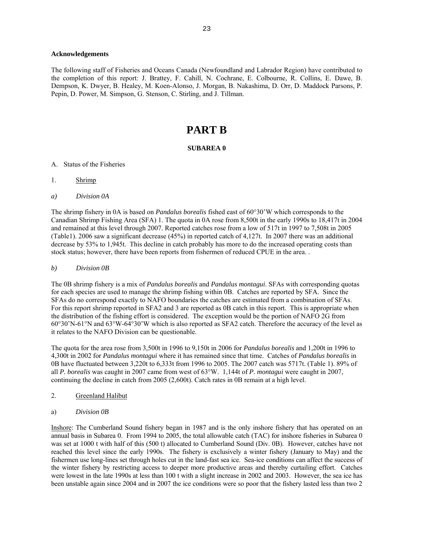### **Acknowledgements**

The following staff of Fisheries and Oceans Canada (Newfoundland and Labrador Region) have contributed to the completion of this report: J. Brattey, F. Cahill, N. Cochrane, E. Colbourne, R. Collins, E. Dawe, B. Dempson, K. Dwyer, B. Healey, M. Koen-Alonso, J. Morgan, B. Nakashima, D. Orr, D. Maddock Parsons, P. Pepin, D. Power, M. Simpson, G. Stenson, C. Stirling, and J. Tillman.

# **PART B**

### **SUBAREA 0**

- A. Status of the Fisheries
- 1. Shrimp
- *a) Division 0A*

The shrimp fishery in 0A is based on *Pandalus borealis* fished east of 60°30'W which corresponds to the Canadian Shrimp Fishing Area (SFA) 1. The quota in 0A rose from 8,500t in the early 1990s to 18,417t in 2004 and remained at this level through 2007. Reported catches rose from a low of 517t in 1997 to 7,508t in 2005 (Table1). 2006 saw a significant decrease (45%) in reported catch of 4,127t. In 2007 there was an additional decrease by 53% to 1,945t. This decline in catch probably has more to do the increased operating costs than stock status; however, there have been reports from fishermen of reduced CPUE in the area. .

*b) Division 0B* 

The 0B shrimp fishery is a mix of *Pandalus borealis* and *Pandalus montagui*. SFAs with corresponding quotas for each species are used to manage the shrimp fishing within 0B. Catches are reported by SFA. Since the SFAs do no correspond exactly to NAFO boundaries the catches are estimated from a combination of SFAs. For this report shrimp reported in SFA2 and 3 are reported as 0B catch in this report. This is appropriate when the distribution of the fishing effort is considered. The exception would be the portion of NAFO 2G from 60°30'N-61°N and 63°W-64°30'W which is also reported as SFA2 catch. Therefore the accuracy of the level as it relates to the NAFO Division can be questionable.

The quota for the area rose from 3,500t in 1996 to 9,150t in 2006 for *Pandalus borealis* and 1,200t in 1996 to 4,300t in 2002 for *Pandalus montagui* where it has remained since that time. Catches of *Pandalus borealis* in 0B have fluctuated between 3,220t to 6,333t from 1996 to 2005. The 2007 catch was 5717t. (Table 1). 89% of all *P. borealis* was caught in 2007 came from west of 63°W. 1,144t of *P. montagui* were caught in 2007, continuing the decline in catch from 2005 (2,600t). Catch rates in 0B remain at a high level.

- 2. Greenland Halibut
- a) *Division 0B*

Inshore: The Cumberland Sound fishery began in 1987 and is the only inshore fishery that has operated on an annual basis in Subarea 0. From 1994 to 2005, the total allowable catch (TAC) for inshore fisheries in Subarea 0 was set at 1000 t with half of this (500 t) allocated to Cumberland Sound (Div. 0B). However, catches have not reached this level since the early 1990s. The fishery is exclusively a winter fishery (January to May) and the fishermen use long-lines set through holes cut in the land-fast sea ice. Sea-ice conditions can affect the success of the winter fishery by restricting access to deeper more productive areas and thereby curtailing effort. Catches were lowest in the late 1990s at less than 100 t with a slight increase in 2002 and 2003. However, the sea ice has been unstable again since 2004 and in 2007 the ice conditions were so poor that the fishery lasted less than two 2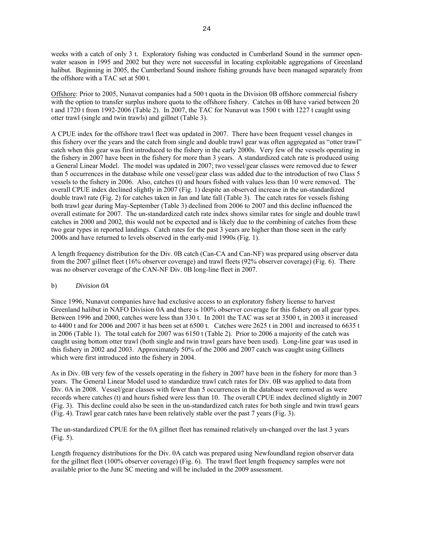weeks with a catch of only 3 t. Exploratory fishing was conducted in Cumberland Sound in the summer openwater season in 1995 and 2002 but they were not successful in locating exploitable aggregations of Greenland halibut. Beginning in 2005, the Cumberland Sound inshore fishing grounds have been managed separately from the offshore with a TAC set at 500 t.

Offshore: Prior to 2005, Nunavut companies had a 500 t quota in the Division 0B offshore commercial fishery with the option to transfer surplus inshore quota to the offshore fishery. Catches in 0B have varied between 20 t and 1720 t from 1992-2006 (Table 2). In 2007, the TAC for Nunavut was 1500 t with 1227 t caught using otter trawl (single and twin trawls) and gillnet (Table 3).

A CPUE index for the offshore trawl fleet was updated in 2007. There have been frequent vessel changes in this fishery over the years and the catch from single and double trawl gear was often aggregated as "otter trawl" catch when this gear was first introduced to the fishery in the early 2000s. Very few of the vessels operating in the fishery in 2007 have been in the fishery for more than 3 years. A standardized catch rate is produced using a General Linear Model. The model was updated in 2007; two vessel/gear classes were removed due to fewer than 5 occurrences in the database while one vessel/gear class was added due to the introduction of two Class 5 vessels to the fishery in 2006. Also, catches (t) and hours fished with values less than 10 were removed. The overall CPUE index declined slightly in 2007 (Fig. 1) despite an observed increase in the un-standardized double trawl rate (Fig. 2) for catches taken in Jan and late fall (Table 3). The catch rates for vessels fishing both trawl gear during May-September (Table 3) declined from 2006 to 2007 and this decline influenced the overall estimate for 2007. The un-standardized catch rate index shows similar rates for single and double trawl catches in 2000 and 2002, this would not be expected and is likely due to the combining of catches from these two gear types in reported landings. Catch rates for the past 3 years are higher than those seen in the early 2000s and have returned to levels observed in the early-mid 1990s (Fig. 1).

A length frequency distribution for the Div. 0B catch (Can-CA and Can-NF) was prepared using observer data from the 2007 gillnet fleet (16% observer coverage) and trawl fleets (92% observer coverage) (Fig. 6). There was no observer coverage of the CAN-NF Div. 0B long-line fleet in 2007.

### b) *Division 0A*

Since 1996, Nunavut companies have had exclusive access to an exploratory fishery license to harvest Greenland halibut in NAFO Division 0A and there is 100% observer coverage for this fishery on all gear types. Between 1996 and 2000, catches were less than 330 t. In 2001 the TAC was set at 3500 t, in 2003 it increased to 4400 t and for 2006 and 2007 it has been set at 6500 t. Catches were 2625 t in 2001 and increased to 6635 t in 2006 (Table 1). The total catch for 2007 was 6150 t (Table 2). Prior to 2006 a majority of the catch was caught using bottom otter trawl (both single and twin trawl gears have been used). Long-line gear was used in this fishery in 2002 and 2003. Approximately 50% of the 2006 and 2007 catch was caught using Gillnets which were first introduced into the fishery in 2004.

As in Div. 0B very few of the vessels operating in the fishery in 2007 have been in the fishery for more than 3 years. The General Linear Model used to standardize trawl catch rates for Div. 0B was applied to data from Div. 0A in 2008. Vessel/gear classes with fewer than 5 occurrences in the database were removed as were records where catches (t) and hours fished were less than 10. The overall CPUE index declined slightly in 2007 (Fig. 3). This decline could also be seen in the un-standardized catch rates for both single and twin trawl gears (Fig. 4). Trawl gear catch rates have been relatively stable over the past 7 years (Fig. 3).

The un-standardized CPUE for the 0A gillnet fleet has remained relatively un-changed over the last 3 years (Fig. 5).

Length frequency distributions for the Div. 0A catch was prepared using Newfoundland region observer data for the gillnet fleet (100% observer coverage) (Fig. 6). The trawl fleet length frequency samples were not available prior to the June SC meeting and will be included in the 2009 assessment.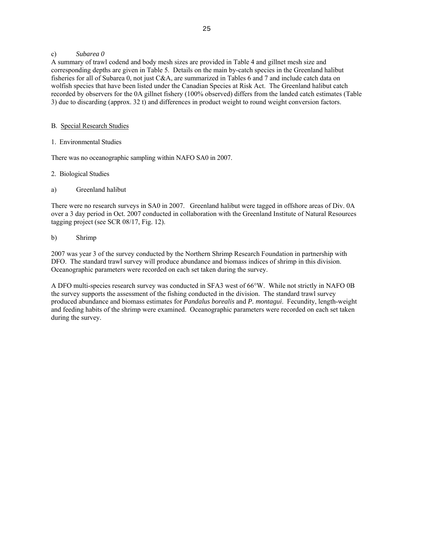# c) *Subarea 0*

A summary of trawl codend and body mesh sizes are provided in Table 4 and gillnet mesh size and corresponding depths are given in Table 5. Details on the main by-catch species in the Greenland halibut fisheries for all of Subarea 0, not just C&A, are summarized in Tables 6 and 7 and include catch data on wolfish species that have been listed under the Canadian Species at Risk Act. The Greenland halibut catch recorded by observers for the 0A gillnet fishery (100% observed) differs from the landed catch estimates (Table 3) due to discarding (approx. 32 t) and differences in product weight to round weight conversion factors.

# B. Special Research Studies

# 1. Environmental Studies

There was no oceanographic sampling within NAFO SA0 in 2007.

# 2. Biological Studies

# a) Greenland halibut

There were no research surveys in SA0 in 2007. Greenland halibut were tagged in offshore areas of Div. 0A over a 3 day period in Oct. 2007 conducted in collaboration with the Greenland Institute of Natural Resources tagging project (see SCR 08/17, Fig. 12).

# b) Shrimp

2007 was year 3 of the survey conducted by the Northern Shrimp Research Foundation in partnership with DFO. The standard trawl survey will produce abundance and biomass indices of shrimp in this division. Oceanographic parameters were recorded on each set taken during the survey.

A DFO multi-species research survey was conducted in SFA3 west of 66°W. While not strictly in NAFO 0B the survey supports the assessment of the fishing conducted in the division. The standard trawl survey produced abundance and biomass estimates for *Pandalus borealis* and *P. montagui*. Fecundity, length-weight and feeding habits of the shrimp were examined. Oceanographic parameters were recorded on each set taken during the survey.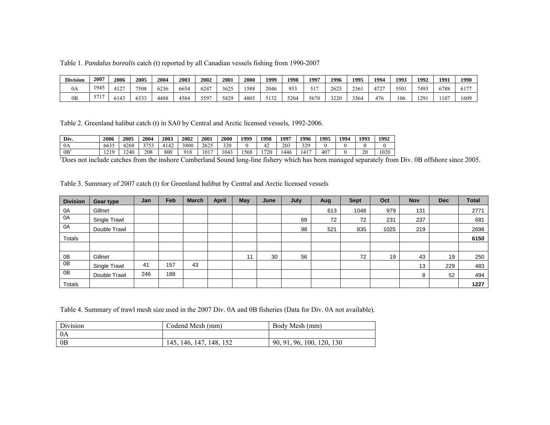Table 1. *Pandalus borealis* catch (t) reported by all Canadian vessels fishing from 1990-2007

| <b>Division</b> | 2007 | 2006        | 2005           | 2004 | 2003 | 2002          | 2001 | 2000 | 1999                | 1998 | 1997     | 1996 | 1995 | 1994               | 1993 | 1992       | 1991 | 1990          |
|-----------------|------|-------------|----------------|------|------|---------------|------|------|---------------------|------|----------|------|------|--------------------|------|------------|------|---------------|
| 0A              | 1945 | 127<br>$-1$ | 7508           | 6236 | 6654 | $624^{\circ}$ | 3625 | 1588 | 2046                | 933  | $-1$ $-$ | 2623 | 236  | $1 - \sim$<br>4/2. | 550  | 7493       | 6788 | (1.77)<br>01/ |
| 0 <sub>B</sub>  |      | 6143        | $\sim$<br>6333 | 4488 | 4584 | 5597          | 5829 | 4805 | $-122$<br>سد ل لم ب | 5204 | 5670     | 3220 | 3564 | 476                | 106  | 120<br>1/2 | 1107 | 1609          |

Table 2. Greenland halibut catch (t) in SA0 by Central and Arctic licensed vessels, 1992-2006.

| Div.            | 2006                               | 2005 | 2004            | 2003 | 2002 | 2001 | 2000 | 1999 | 1998             | 1997 | 1996 | 1995 | 1994 | 1993 | 1992 |
|-----------------|------------------------------------|------|-----------------|------|------|------|------|------|------------------|------|------|------|------|------|------|
| 0A              | 6635                               | 1268 | 3753<br>່ ! ປຸປ | 4142 | 3800 | 2625 | 320  |      | $\sim$<br>$\sim$ | 203  | 329  |      |      |      |      |
| 0B <sup>1</sup> | 210<br>$\sim$ $\sim$ $\sim$ $\sim$ | 240  | 208             | 800  | 918  | 1017 | 1043 | 568  | 720              | 446  | 1417 | 407  |      | 20   | 1020 |

<sup>1</sup>Does not include catches from the inshore Cumberland Sound long-line fishery which has been managed separately from Div. 0B offshore since 2005.

Table 3. Summary of 2007 catch (t) for Greenland halibut by Central and Arctic licensed vessels

| <b>Division</b> | <b>Gear type</b> | Jan | Feb | March | April | May | June | July | Aug | <b>Sept</b> | Oct  | <b>Nov</b> | <b>Dec</b> | <b>Total</b> |
|-----------------|------------------|-----|-----|-------|-------|-----|------|------|-----|-------------|------|------------|------------|--------------|
| 0A              | Gillnet          |     |     |       |       |     |      |      | 613 | 1048        | 979  | 131        |            | 2771         |
| 0A              | Single Trawl     |     |     |       |       |     |      | 69   | 72  | 72          | 231  | 237        |            | 681          |
| 0A              | Double Trawl     |     |     |       |       |     |      | 98   | 521 | 835         | 1025 | 219        |            | 2698         |
| Totals          |                  |     |     |       |       |     |      |      |     |             |      |            |            | 6150         |
|                 |                  |     |     |       |       |     |      |      |     |             |      |            |            |              |
| 0B              | Gillnet          |     |     |       |       | 11  | 30   | 56   |     | 72          | 19   | 43         | 19         | 250          |
| 0B              | Single Trawl     | 41  | 157 | 43    |       |     |      |      |     |             |      | 13         | 229        | 483          |
| 0B              | Double Trawl     | 246 | 188 |       |       |     |      |      |     |             |      | 8          | 52         | 494          |
| <b>Totals</b>   |                  |     |     |       |       |     |      |      |     |             |      |            |            | 1227         |

Table 4. Summary of trawl mesh size used in the 2007 Div. 0A and 0B fisheries (Data for Div. 0A not available).

| Division | Codend Mesh (mm)                   | Body Mesh (mm)                            |
|----------|------------------------------------|-------------------------------------------|
| 0A       |                                    |                                           |
| 0B       | 147<br>152<br>148.<br>146.<br>145. | 120.<br>130<br>90.<br>96.<br>100.<br>-91. |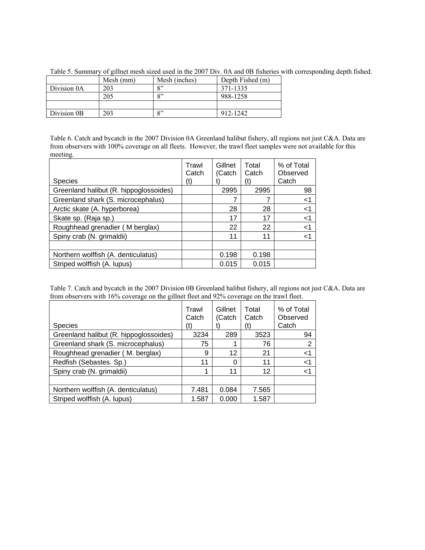|             | Mesh (mm) | Mesh (inches)     | Depth Fished (m) |
|-------------|-----------|-------------------|------------------|
| Division 0A | 203       | $\mathbf{Q}$      | 371-1335         |
|             | 205       | $Q$ <sup>22</sup> | 988-1258         |
|             |           |                   |                  |
| Division 0B | 203       | $\mathbf{Q}$      | 912-1242         |

Table 5. Summary of gillnet mesh sized used in the 2007 Div. 0A and 0B fisheries with corresponding depth fished.

Table 6. Catch and bycatch in the 2007 Division 0A Greenland halibut fishery, all regions not just C&A. Data are from observers with 100% coverage on all fleets. However, the trawl fleet samples were not available for this meeting.

| <b>Species</b>                         | Trawl<br>Catch<br>(t) | Gillnet<br>(Catch | Total<br>Catch<br>(t) | % of Total<br>Observed<br>Catch |
|----------------------------------------|-----------------------|-------------------|-----------------------|---------------------------------|
| Greenland halibut (R. hippoglossoides) |                       | 2995              | 2995                  | 98                              |
| Greenland shark (S. microcephalus)     |                       |                   |                       | $<$ 1                           |
| Arctic skate (A. hyperborea)           |                       | 28                | 28                    | $<$ 1                           |
| Skate sp. (Raja sp.)                   |                       | 17                | 17                    | $<$ 1                           |
| Roughhead grenadier (M berglax)        |                       | 22                | 22                    | $<$ 1                           |
| Spiny crab (N. grimaldii)              |                       | 11                | 11                    | $<$ 1                           |
|                                        |                       |                   |                       |                                 |
| Northern wolffish (A. denticulatus)    |                       | 0.198             | 0.198                 |                                 |
| Striped wolffish (A. lupus)            |                       | 0.015             | 0.015                 |                                 |

Table 7. Catch and bycatch in the 2007 Division 0B Greenland halibut fishery, all regions not just C&A. Data are from observers with 16% coverage on the gillnet fleet and 92% coverage on the trawl fleet.

| <b>Species</b>                         | Trawl<br>Catch<br>(t | Gillnet<br>(Catch | Total<br>Catch<br>(t) | % of Total<br>Observed<br>Catch |
|----------------------------------------|----------------------|-------------------|-----------------------|---------------------------------|
| Greenland halibut (R. hippoglossoides) | 3234                 | 289               | 3523                  | 94                              |
| Greenland shark (S. microcephalus)     | 75                   | 1                 | 76                    | 2                               |
| Roughhead grenadier (M. berglax)       | 9                    | 12                | 21                    | $<$ 1                           |
| Redfish (Sebastes, Sp.)                | 11                   | 0                 | 11                    | $<$ 1                           |
| Spiny crab (N. grimaldii)              |                      | 11                | 12                    | $<$ 1                           |
|                                        |                      |                   |                       |                                 |
| Northern wolffish (A. denticulatus)    | 7.481                | 0.084             | 7.565                 |                                 |
| Striped wolffish (A. lupus)            | 1.587                | 0.000             | 1.587                 |                                 |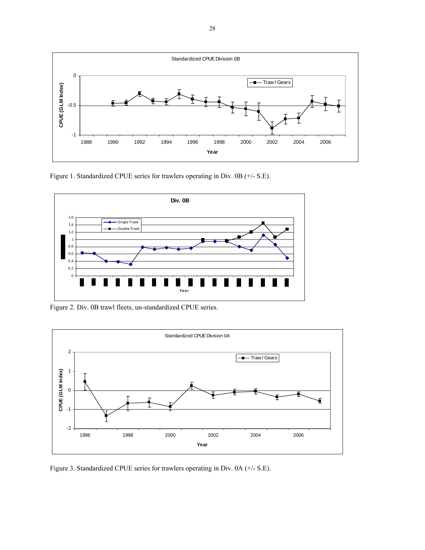

Figure 1. Standardized CPUE series for trawlers operating in Div. 0B (+/- S.E).



Figure 2. Div. 0B trawl fleets, un-standardized CPUE series.



Figure 3. Standardized CPUE series for trawlers operating in Div. 0A (+/- S.E).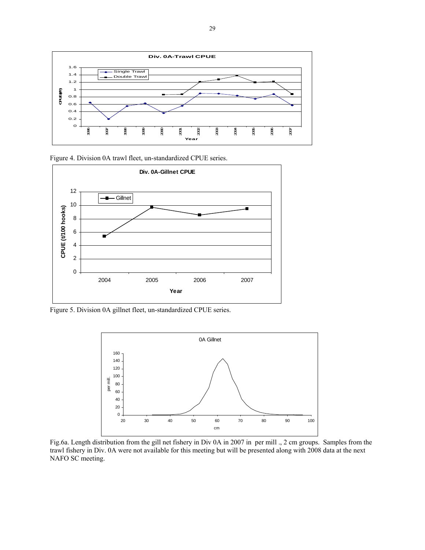





Figure 5. Division 0A gillnet fleet, un-standardized CPUE series.



Fig.6a. Length distribution from the gill net fishery in Div 0A in 2007 in per mill ., 2 cm groups. Samples from the trawl fishery in Div. 0A were not available for this meeting but will be presented along with 2008 data at the next NAFO SC meeting.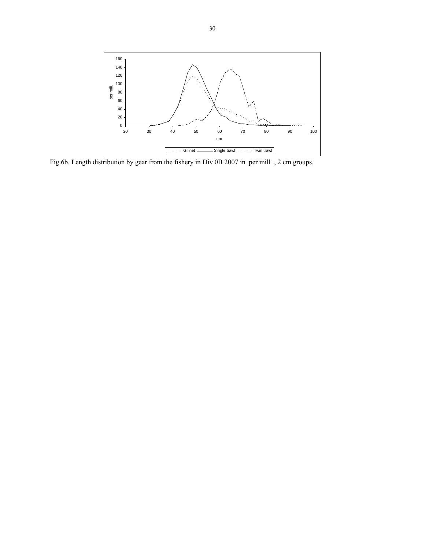

Fig.6b. Length distribution by gear from the fishery in Div 0B 2007 in per mill ., 2 cm groups.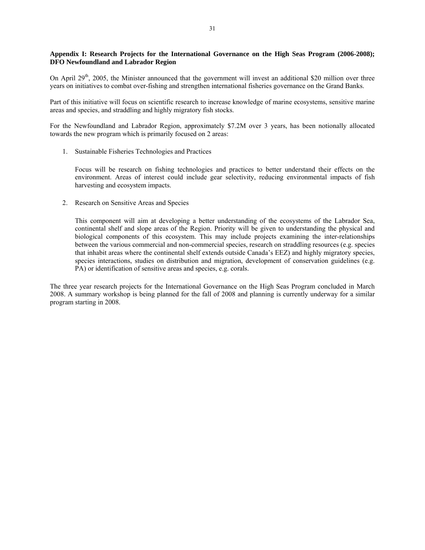# **Appendix I: Research Projects for the International Governance on the High Seas Program (2006-2008); DFO Newfoundland and Labrador Region**

On April 29<sup>th</sup>, 2005, the Minister announced that the government will invest an additional \$20 million over three years on initiatives to combat over-fishing and strengthen international fisheries governance on the Grand Banks.

Part of this initiative will focus on scientific research to increase knowledge of marine ecosystems, sensitive marine areas and species, and straddling and highly migratory fish stocks.

For the Newfoundland and Labrador Region, approximately \$7.2M over 3 years, has been notionally allocated towards the new program which is primarily focused on 2 areas:

1. Sustainable Fisheries Technologies and Practices

Focus will be research on fishing technologies and practices to better understand their effects on the environment. Areas of interest could include gear selectivity, reducing environmental impacts of fish harvesting and ecosystem impacts.

2. Research on Sensitive Areas and Species

This component will aim at developing a better understanding of the ecosystems of the Labrador Sea, continental shelf and slope areas of the Region. Priority will be given to understanding the physical and biological components of this ecosystem. This may include projects examining the inter-relationships between the various commercial and non-commercial species, research on straddling resources (e.g. species that inhabit areas where the continental shelf extends outside Canada's EEZ) and highly migratory species, species interactions, studies on distribution and migration, development of conservation guidelines (e.g. PA) or identification of sensitive areas and species, e.g. corals.

The three year research projects for the International Governance on the High Seas Program concluded in March 2008. A summary workshop is being planned for the fall of 2008 and planning is currently underway for a similar program starting in 2008.